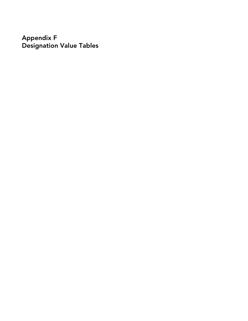Appendix F Designation Value Tables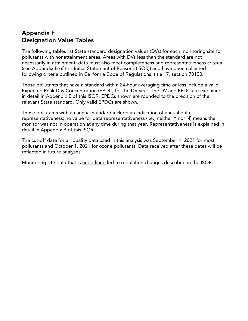# Appendix F Designation Value Tables

The following tables list State standard designation values (DVs) for each monitoring site for pollutants with nonattainment areas. Areas with DVs less than the standard are not necessarily in attainment; data must also meet completeness and representativeness criteria (see Appendix B of this Initial Statement of Reasons (ISOR)) and have been collected following criteria outlined in California Code of Regulations, title 17, section 70100.

Those pollutants that have a standard with a 24-hour averaging time or less include a valid Expected Peak Day Concentration (EPDC) for the DV year. The DV and EPDC are explained in detail in Appendix E of this ISOR. EPDCs shown are rounded to the precision of the relevant State standard. Only valid EPDCs are shown.

Those pollutants with an annual standard include an indication of annual data representativeness; no value for data representativeness (i.e., neither Y nor N) means the monitor was not in operation at any time during that year. Representativeness is explained in detail in Appendix B of this ISOR.

The cut-off date for air quality data used in this analysis was September 1, 2021 for most pollutants and October 1, 2021 for ozone pollutants. Data received after these dates will be reflected in future analyses.

Monitoring site data that is *underlined* led to regulation changes described in the ISOR.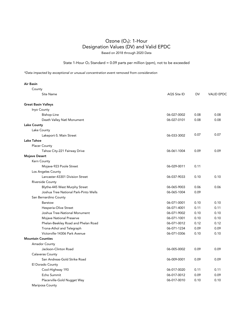State 1-Hour  $O_3$  Standard = 0.09 parts per million (ppm), not to be exceeded

| Air Basin                             |             |      |                   |
|---------------------------------------|-------------|------|-------------------|
| County                                |             |      |                   |
| Site Name                             | AQS Site ID | DV   | <b>VALID EPDC</b> |
| <b>Great Basin Valleys</b>            |             |      |                   |
| Inyo County                           |             |      |                   |
| Bishop-Line                           | 06-027-0002 | 0.08 | 0.08              |
| Death Valley Natl Monument            | 06-027-0101 | 0.08 | 0.08              |
| <b>Lake County</b>                    |             |      |                   |
| Lake County                           |             |      |                   |
| Lakeport-S. Main Street               | 06-033-3002 | 0.07 | 0.07              |
| <b>Lake Tahoe</b>                     |             |      |                   |
| <b>Placer County</b>                  |             |      |                   |
| Tahoe City-221 Fairway Drive          | 06-061-1004 | 0.09 | 0.09              |
| <b>Mojave Desert</b>                  |             |      |                   |
| Kern County                           |             |      |                   |
| Mojave-923 Poole Street               | 06-029-0011 | 0.11 |                   |
| Los Angeles County                    |             |      |                   |
| Lancaster-43301 Division Street       | 06-037-9033 | 0.10 | 0.10              |
| Riverside County                      |             |      |                   |
| Blythe-445 West Murphy Street         | 06-065-9003 | 0.06 | 0.06              |
| Joshua Tree National Park-Pinto Wells | 06-065-1004 | 0.09 |                   |
| San Bernardino County                 |             |      |                   |
| <b>Barstow</b>                        | 06-071-0001 | 0.10 | 0.10              |
| Hesperia-Olive Street                 | 06-071-4001 | 0.11 | 0.11              |
| Joshua Tree-National Monument         | 06-071-9002 | 0.10 | 0.10              |
| Mojave National Preserve              | 06-071-1001 | 0.10 | 0.10              |
| Phelan-Beekley Road and Phelan Road   | 06-071-0012 | 0.12 | 0.12              |
| Trona-Athol and Telegraph             | 06-071-1234 | 0.09 | 0.09              |
| Victorville-14306 Park Avenue         | 06-071-0306 | 0.10 | 0.10              |
| <b>Mountain Counties</b>              |             |      |                   |
| Amador County                         |             |      |                   |
| Jackson-Clinton Road                  | 06-005-0002 | 0.09 | 0.09              |
| <b>Calaveras County</b>               |             |      |                   |
| San Andreas-Gold Strike Road          | 06-009-0001 | 0.09 | 0.09              |
| El Dorado County                      |             |      |                   |
| Cool-Highway 193                      | 06-017-0020 | 0.11 | 0.11              |
| Echo Summit                           | 06-017-0012 | 0.09 | 0.09              |
| Placerville-Gold Nugget Way           | 06-017-0010 | 0.10 | 0.10              |
| Mariposa County                       |             |      |                   |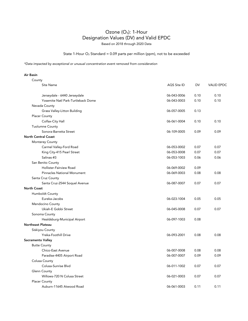### State 1-Hour  $O_3$  Standard = 0.09 parts per million (ppm), not to be exceeded

*\*Data impacted by exceptional or unusual concentration event removed from consideration*

|                    | County                             |             |      |                   |
|--------------------|------------------------------------|-------------|------|-------------------|
|                    | Site Name                          | AQS Site ID | DV   | <b>VALID EPDC</b> |
|                    | Jerseydale - 6440 Jerseydale       | 06-043-0006 | 0.10 | 0.10              |
|                    | Yosemite Natl Park-Turtleback Dome | 06-043-0003 | 0.10 | 0.10              |
|                    | Nevada County                      |             |      |                   |
|                    | Grass Valley-Litton Building       | 06-057-0005 | 0.13 |                   |
|                    | <b>Placer County</b>               |             |      |                   |
|                    | Colfax-City Hall                   | 06-061-0004 | 0.10 | 0.10              |
|                    | <b>Tuolumne County</b>             |             |      |                   |
|                    | Sonora-Barretta Street             | 06-109-0005 | 0.09 | 0.09              |
|                    | <b>North Central Coast</b>         |             |      |                   |
|                    | Monterey County                    |             |      |                   |
|                    | Carmel Valley-Ford Road            | 06-053-0002 | 0.07 | 0.07              |
|                    | King City-415 Pearl Street         | 06-053-0008 | 0.07 | 0.07              |
|                    | Salinas-#3                         | 06-053-1003 | 0.06 | 0.06              |
|                    | San Benito County                  |             |      |                   |
|                    | Hollister-Fairview Road            | 06-069-0002 | 0.09 |                   |
|                    | <b>Pinnacles National Monument</b> | 06-069-0003 | 0.08 | 0.08              |
|                    | Santa Cruz County                  |             |      |                   |
|                    | Santa Cruz-2544 Soquel Avenue      | 06-087-0007 | 0.07 | 0.07              |
| <b>North Coast</b> |                                    |             |      |                   |
|                    | Humboldt County                    |             |      |                   |
|                    | Eureka-Jacobs                      | 06-023-1004 | 0.05 | 0.05              |
|                    | Mendocino County                   |             |      |                   |
|                    | Ukiah-E Gobbi Street               | 06-045-0008 | 0.07 | 0.07              |
|                    | Sonoma County                      |             |      |                   |
|                    | Healdsburg-Municipal Airport       | 06-097-1003 | 0.08 |                   |
|                    | Northeast Plateau                  |             |      |                   |
|                    | Siskiyou County                    |             |      |                   |
|                    | <b>Yreka-Foothill Drive</b>        | 06-093-2001 | 0.08 | 0.08              |
|                    | Sacramento Valley                  |             |      |                   |
|                    | <b>Butte County</b>                |             |      |                   |
|                    | Chico-East Avenue                  | 06-007-0008 | 0.08 | 0.08              |
|                    | Paradise-4405 Airport Road         | 06-007-0007 | 0.09 | 0.09              |
|                    | Colusa County                      |             |      |                   |
|                    | Colusa-Sunrise Blvd                | 06-011-1002 | 0.07 | 0.07              |
|                    | Glenn County                       |             |      |                   |
|                    | Willows-720 N Colusa Street        | 06-021-0003 | 0.07 | 0.07              |
|                    | <b>Placer County</b>               |             |      |                   |
|                    | Auburn-11645 Atwood Road           | 06-061-0003 | 0.11 | 0.11              |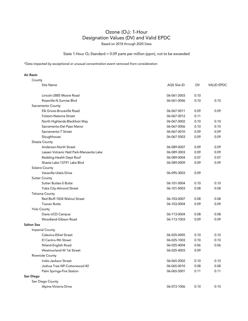### State 1-Hour  $O_3$  Standard = 0.09 parts per million (ppm), not to be exceeded

*\*Data impacted by exceptional or unusual concentration event removed from consideration*

| County                                   |             |           |                   |
|------------------------------------------|-------------|-----------|-------------------|
| Site Name                                | AQS Site ID | <b>DV</b> | <b>VALID EPDC</b> |
| Lincoln-2885 Moore Road                  | 06-061-2003 | 0.10      |                   |
| Roseville-N Sunrise Blvd                 | 06-061-0006 | 0.10      | 0.10              |
| Sacramento County                        |             |           |                   |
| Elk Grove-Bruceville Road                | 06-067-0011 | 0.09      | 0.09              |
| Folsom-Natoma Street                     | 06-067-0012 | 0.11      |                   |
| North Highlands-Blackfoot Way            | 06-067-0002 | 0.10      | 0.10              |
| Sacramento-Del Paso Manor                | 06-067-0006 | 0.10      | 0.10              |
| Sacramento-T Street                      | 06-067-0010 | 0.09      | 0.09              |
| Sloughhouse                              | 06-067-5003 | 0.09      | 0.09              |
| Shasta County                            |             |           |                   |
| Anderson-North Street                    | 06-089-0007 | 0.09      | 0.09              |
| Lassen Volcanic Natl Park-Manzanita Lake | 06-089-3003 | 0.09      | 0.09              |
| Redding-Health Dept Roof                 | 06-089-0004 | 0.07      | 0.07              |
| Shasta Lake-13791 Lake Blvd              | 06-089-0009 | 0.09      | 0.09              |
| Solano County                            |             |           |                   |
| Vacaville-Ulatis Drive                   | 06-095-3003 | 0.09      |                   |
| <b>Sutter County</b>                     |             |           |                   |
| <b>Sutter Buttes-S Butte</b>             | 06-101-0004 | 0.10      | 0.10              |
| Yuba City-Almond Street                  | 06-101-0003 | 0.08      | 0.08              |
| Tehama County                            |             |           |                   |
| Red Bluff-1834 Walnut Street             | 06-103-0007 | 0.08      | 0.08              |
| <b>Tuscan Butte</b>                      | 06-103-0004 | 0.09      | 0.09              |
| Yolo County                              |             |           |                   |
| Davis-UCD Campus                         | 06-113-0004 | 0.08      | 0.08              |
| Woodland-Gibson Road                     | 06-113-1003 | 0.09      | 0.09              |
| <b>Salton Sea</b>                        |             |           |                   |
| Imperial County                          |             |           |                   |
| Calexico-Ethel Street                    | 06-025-0005 | 0.10      | 0.10              |
| El Centro-9th Street                     | 06-025-1003 | 0.10      | 0.10              |
| Niland-English Road                      | 06-025-4004 | 0.06      | 0.06              |
| Westmorland-W 1st Street                 | 06-025-4003 | 0.09      |                   |
| Riverside County                         |             |           |                   |
| Indio-Jackson Street                     | 06-065-2002 | 0.10      | 0.10              |
| Joshua Tree NP-Cottonwood #2             | 06-065-0010 | 0.08      | 0.08              |
| Palm Springs-Fire Station                | 06-065-5001 | 0.11      | 0.11              |
| San Diego                                |             |           |                   |
| San Diego County                         |             |           |                   |
| Alpine-Victoria Drive                    | 06-073-1006 | 0.10      | 0.10              |
|                                          |             |           |                   |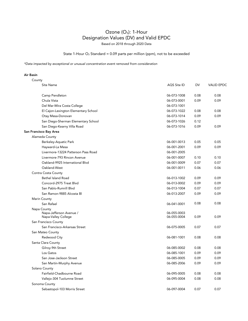### State 1-Hour  $O_3$  Standard = 0.09 parts per million (ppm), not to be exceeded

*\*Data impacted by exceptional or unusual concentration event removed from consideration*

| County                                         |                            |           |                   |
|------------------------------------------------|----------------------------|-----------|-------------------|
| Site Name                                      | AQS Site ID                | <b>DV</b> | <b>VALID EPDC</b> |
| Camp Pendleton                                 | 06-073-1008                | 0.08      | 0.08              |
| Chula Vista                                    | 06-073-0001                | 0.09      | 0.09              |
| Del Mar-Mira Costa College                     | 06-073-1001                |           |                   |
| El Cajon-Lexington Elementary School           | 06-073-1022                | 0.08      | 0.08              |
| Otay Mesa-Donovan                              | 06-073-1014                | 0.09      | 0.09              |
| San Diego-Sherman Elementary School            | 06-073-1026                | 0.12      |                   |
| San Diego-Kearny Villa Road                    | 06-073-1016                | 0.09      | 0.09              |
| San Francisco Bay Area                         |                            |           |                   |
| Alameda County                                 |                            |           |                   |
| Berkeley-Aquatic Park                          | 06-001-0013                | 0.05      | 0.05              |
| Hayward-La Mesa                                | 06-001-2001                | 0.09      | 0.09              |
| Livermore-13224 Patterson Pass Road            | 06-001-2005                |           |                   |
| Livermore-793 Rincon Avenue                    | 06-001-0007                | 0.10      | 0.10              |
| Oakland-9925 International Blvd                | 06-001-0009                | 0.07      | 0.07              |
| Oakland-West                                   | 06-001-0011                | 0.06      | 0.06              |
| Contra Costa County                            |                            |           |                   |
| <b>Bethel Island Road</b>                      | 06-013-1002                | 0.09      | 0.09              |
| Concord-2975 Treat Blvd                        | 06-013-0002                | 0.09      | 0.09              |
| San Pablo-Rumrill Blvd                         | 06-013-1004                | 0.07      | 0.07              |
| San Ramon-9885 Alcosta Bl                      | 06-013-2007                | 0.09      | 0.09              |
| Marin County                                   |                            |           |                   |
| San Rafael                                     | 06-041-0001                | 0.08      | 0.08              |
| Napa County                                    |                            |           |                   |
| Napa-Jefferson Avenue /<br>Napa-Valley College | 06-055-0003<br>06-055-0004 | 0.09      | 0.09              |
| San Francisco County                           |                            |           |                   |
| San Francisco-Arkansas Street                  | 06-075-0005                | 0.07      | 0.07              |
| San Mateo County                               |                            |           |                   |
| Redwood City                                   | 06-081-1001                | 0.08      | 0.08              |
| Santa Clara County                             |                            |           |                   |
| Gilroy-9th Street                              | 06-085-0002                | 0.08      | 0.08              |
| Los Gatos                                      | 06-085-1001                | 0.09      | 0.09              |
| San Jose-Jackson Street                        | 06-085-0005                | 0.09      | 0.09              |
| San Martin-Murphy Avenue                       | 06-085-2006                | 0.09      | 0.09              |
| Solano County                                  |                            |           |                   |
| Fairfield-Chadbourne Road                      | 06-095-0005                | 0.08      | 0.08              |
| Vallejo-304 Tuolumne Street                    | 06-095-0004                | 0.08      | 0.08              |
| Sonoma County                                  |                            |           |                   |
| Sebastopol-103 Morris Street                   | 06-097-0004                | 0.07      | 0.07              |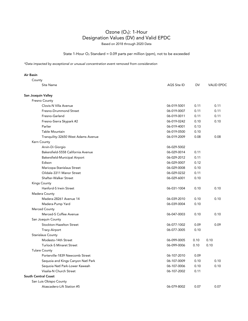### State 1-Hour  $O_3$  Standard = 0.09 parts per million (ppm), not to be exceeded

| Air Basin                           |             |      |                   |
|-------------------------------------|-------------|------|-------------------|
| County                              |             |      |                   |
| <b>Site Name</b>                    | AQS Site ID | DV   | <b>VALID EPDC</b> |
| San Joaquin Valley                  |             |      |                   |
| Fresno County                       |             |      |                   |
| Clovis-N Villa Avenue               | 06-019-5001 | 0.11 | 0.11              |
| Fresno-Drummond Street              | 06-019-0007 | 0.11 | 0.11              |
| Fresno-Garland                      | 06-019-0011 | 0.11 | 0.11              |
| Fresno-Sierra Skypark #2            | 06-019-0242 | 0.10 | 0.10              |
| Parlier                             | 06-019-4001 | 0.13 |                   |
| Table Mountain                      | 06-019-0500 | 0.10 |                   |
| Tranquility-32650 West Adams Avenue | 06-019-2009 | 0.08 | 0.08              |
| Kern County                         |             |      |                   |
| Arvin-Di Giorgio                    | 06-029-5002 |      |                   |
| Bakersfield-5558 California Avenue  | 06-029-0014 | 0.11 |                   |
| Bakersfield-Municipal Airport       | 06-029-2012 | 0.11 |                   |
| Edison                              | 06-029-0007 | 0.12 |                   |
| Maricopa-Stanislaus Street          | 06-029-0008 | 0.10 |                   |
| Oildale-3311 Manor Street           | 06-029-0232 | 0.11 |                   |
| Shafter-Walker Street               | 06-029-6001 | 0.10 |                   |
| <b>Kings County</b>                 |             |      |                   |
| Hanford-S Irwin Street              | 06-031-1004 | 0.10 | 0.10              |
| Madera County                       |             |      |                   |
| Madera-28261 Avenue 14              | 06-039-2010 | 0.10 | 0.10              |
| Madera-Pump Yard                    | 06-039-0004 | 0.10 |                   |
| Merced County                       |             |      |                   |
| Merced-S Coffee Avenue              | 06-047-0003 | 0.10 | 0.10              |
| San Joaquin County                  |             |      |                   |
| Stockton-Hazelton Street            | 06-077-1002 | 0.09 | 0.09              |
| Tracy-Airport                       | 06-077-3005 | 0.10 |                   |
| <b>Stanislaus County</b>            |             |      |                   |
| Modesto-14th Street                 | 06-099-0005 | 0.10 | 0.10              |
| <b>Turlock-S Minaret Street</b>     | 06-099-0006 | 0.10 | 0.10              |
| <b>Tulare County</b>                |             |      |                   |
| Porterville-1839 Newcomb Street     | 06-107-2010 | 0.09 |                   |
| Sequoia and Kings Canyon Natl Park  | 06-107-0009 | 0.10 | 0.10              |
| Sequoia Natl Park-Lower Kaweah      | 06-107-0006 | 0.10 | 0.10              |
| Visalia-N Church Street             | 06-107-2002 | 0.11 |                   |
| South Central Coast                 |             |      |                   |
| San Luis Obispo County              |             |      |                   |
| Atascadero-Lift Station #5          | 06-079-8002 | 0.07 | 0.07              |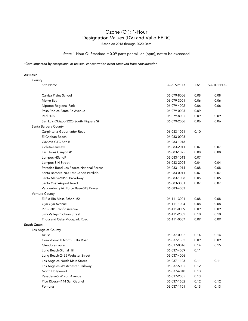### State 1-Hour  $O_3$  Standard = 0.09 parts per million (ppm), not to be exceeded

*\*Data impacted by exceptional or unusual concentration event removed from consideration*

| County      |                                          |             |      |                   |
|-------------|------------------------------------------|-------------|------|-------------------|
|             | Site Name                                | AQS Site ID | DV   | <b>VALID EPDC</b> |
|             | Carrisa Plains School                    | 06-079-8006 | 0.08 | 0.08              |
|             | Morro Bay                                | 06-079-3001 | 0.06 | 0.06              |
|             | Nipomo-Regional Park                     | 06-079-4002 | 0.06 | 0.06              |
|             | Paso Robles-Santa Fe Avenue              | 06-079-0005 | 0.09 |                   |
|             | <b>Red Hills</b>                         | 06-079-8005 | 0.09 | 0.09              |
|             | San Luis Obispo-3220 South Higuera St    | 06-079-2006 | 0.06 | 0.06              |
|             | Santa Barbara County                     |             |      |                   |
|             | Carpinteria-Gobernador Road              | 06-083-1021 | 0.10 |                   |
|             | El Capitan Beach                         | 06-083-0008 |      |                   |
|             | Gaviota-GTC Site B                       | 06-083-1018 |      |                   |
|             | Goleta-Fairview                          | 06-083-2011 | 0.07 | 0.07              |
|             | Las Flores Canyon #1                     | 06-083-1025 | 0.08 | 0.08              |
|             | Lompoc-HSandP                            | 06-083-1013 | 0.07 |                   |
|             | Lompoc-S H Street                        | 06-083-2004 | 0.04 | 0.04              |
|             | Paradise Road-Los Padres National Forest | 06-083-1014 | 0.08 | 0.08              |
|             | Santa Barbara-700 East Canon Perdido     | 06-083-0011 | 0.07 | 0.07              |
|             | Santa Maria-906 S Broadway               | 06-083-1008 | 0.05 | 0.05              |
|             | Santa Ynez-Airport Road                  | 06-083-3001 | 0.07 | 0.07              |
|             | Vandenberg Air Force Base-STS Power      | 06-083-4003 |      |                   |
|             | Ventura County                           |             |      |                   |
|             | El Rio-Rio Mesa School #2                | 06-111-3001 | 0.08 | 0.08              |
|             | Ojai-Ojai Avenue                         | 06-111-1004 | 0.08 | 0.08              |
|             | Piru-3301 Pacific Avenue                 | 06-111-0009 | 0.09 | 0.09              |
|             | Simi Valley-Cochran Street               | 06-111-2002 | 0.10 | 0.10              |
|             | Thousand Oaks-Moorpark Road              | 06-111-0007 | 0.09 | 0.09              |
| South Coast |                                          |             |      |                   |
|             | Los Angeles County                       |             |      |                   |
|             | Azusa                                    | 06-037-0002 | 0.14 | 0.14              |
|             | Compton-700 North Bullis Road            | 06-037-1302 | 0.09 | 0.09              |
|             | Glendora-Laurel                          | 06-037-0016 | 0.14 | 0.15              |
|             | Long Beach-Signal Hill                   | 06-037-4009 | 0.11 |                   |
|             | Long Beach-2425 Webster Street           | 06-037-4006 |      |                   |
|             | Los Angeles-North Main Street            | 06-037-1103 | 0.11 | 0.11              |
|             | Los Angeles-Westchester Parkway          | 06-037-5005 | 0.12 |                   |
|             | North Hollywood                          | 06-037-4010 | 0.13 |                   |
|             | Pasadena-S Wilson Avenue                 | 06-037-2005 | 0.13 |                   |
|             | Pico Rivera-4144 San Gabriel             | 06-037-1602 | 0.12 | 0.12              |
|             | Pomona                                   | 06-037-1701 | 0.13 | 0.13              |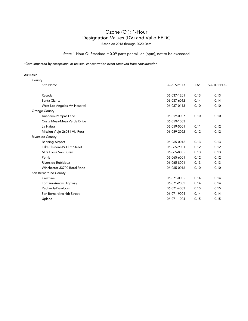### State 1-Hour  $O_3$  Standard = 0.09 parts per million (ppm), not to be exceeded

*\*Data impacted by exceptional or unusual concentration event removed from consideration*

| County                       |             |           |                   |
|------------------------------|-------------|-----------|-------------------|
| <b>Site Name</b>             | AQS Site ID | <b>DV</b> | <b>VALID EPDC</b> |
| Reseda                       | 06-037-1201 | 0.13      | 0.13              |
| Santa Clarita                | 06-037-6012 | 0.14      | 0.14              |
| West Los Angeles-VA Hospital | 06-037-0113 | 0.10      | 0.10              |
| Orange County                |             |           |                   |
| Anaheim-Pampas Lane          | 06-059-0007 | 0.10      | 0.10              |
| Costa Mesa-Mesa Verde Drive  | 06-059-1003 |           |                   |
| La Habra                     | 06-059-5001 | 0.11      | 0.12              |
| Mission Viejo-26081 Via Pera | 06-059-2022 | 0.12      | 0.12              |
| Riverside County             |             |           |                   |
| <b>Banning Airport</b>       | 06-065-0012 | 0.13      | 0.13              |
| Lake Elsinore-W Flint Street | 06-065-9001 | 0.12      | 0.12              |
| Mira Loma Van Buren          | 06-065-8005 | 0.13      | 0.13              |
| Perris                       | 06-065-6001 | 0.12      | 0.12              |
| Riverside-Rubidoux           | 06-065-8001 | 0.13      | 0.13              |
| Winchester-33700 Borel Road  | 06-065-0016 | 0.10      | 0.10              |
| San Bernardino County        |             |           |                   |
| Crestline                    | 06-071-0005 | 0.14      | 0.14              |
| Fontana-Arrow Highway        | 06-071-2002 | 0.14      | 0.14              |
| Redlands-Dearborn            | 06-071-4003 | 0.15      | 0.15              |
| San Bernardino-4th Street    | 06-071-9004 | 0.14      | 0.14              |
| Upland                       | 06-071-1004 | 0.15      | 0.15              |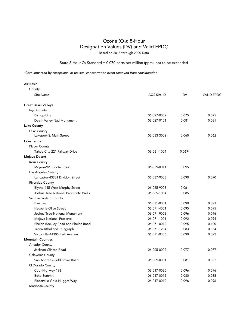State 8-Hour  $O_3$  Standard = 0.070 parts per million (ppm), not to be exceeded

| Air Basin                             |             |          |                   |
|---------------------------------------|-------------|----------|-------------------|
| County                                |             |          |                   |
| Site Name                             | AQS Site ID | DV       | <b>VALID EPDC</b> |
| <b>Great Basin Valleys</b>            |             |          |                   |
| Inyo County                           |             |          |                   |
| Bishop-Line                           | 06-027-0002 | 0.075    | 0.075             |
| Death Valley Natl Monument            | 06-027-0101 | 0.081    | 0.081             |
| <b>Lake County</b>                    |             |          |                   |
| Lake County                           |             |          |                   |
| Lakeport-S. Main Street               | 06-033-3002 | 0.060    | 0.062             |
| Lake Tahoe                            |             |          |                   |
| <b>Placer County</b>                  |             |          |                   |
| Tahoe City-221 Fairway Drive          | 06-061-1004 | $0.069*$ |                   |
| Mojave Desert                         |             |          |                   |
| Kern County                           |             |          |                   |
| Mojave-923 Poole Street               | 06-029-0011 | 0.095    |                   |
| Los Angeles County                    |             |          |                   |
| Lancaster-43301 Division Street       | 06-037-9033 | 0.090    | 0.090             |
| <b>Riverside County</b>               |             |          |                   |
| Blythe-445 West Murphy Street         | 06-065-9003 | 0.061    |                   |
| Joshua Tree National Park-Pinto Wells | 06-065-1004 | 0.085    |                   |
| San Bernardino County                 |             |          |                   |
| <b>Barstow</b>                        | 06-071-0001 | 0.090    | 0.093             |
| Hesperia-Olive Street                 | 06-071-4001 | 0.095    | 0.095             |
| Joshua Tree-National Monument         | 06-071-9002 | 0.096    | 0.096             |
| Mojave National Preserve              | 06-071-1001 | 0.092    | 0.094             |
| Phelan-Beekley Road and Phelan Road   | 06-071-0012 | 0.095    | 0.100             |
| Trona-Athol and Telegraph             | 06-071-1234 | 0.083    | 0.084             |
| Victorville-14306 Park Avenue         | 06-071-0306 | 0.090    | 0.092             |
| <b>Mountain Counties</b>              |             |          |                   |
| <b>Amador County</b>                  |             |          |                   |
| Jackson-Clinton Road                  | 06-005-0002 | 0.077    | 0.077             |
| <b>Calaveras County</b>               |             |          |                   |
| San Andreas-Gold Strike Road          | 06-009-0001 | 0.081    | 0.082             |
| El Dorado County                      |             |          |                   |
| Cool-Highway 193                      | 06-017-0020 | 0.096    | 0.096             |
| Echo Summit                           | 06-017-0012 | 0.080    | 0.085             |
| Placerville-Gold Nugget Way           | 06-017-0010 | 0.096    | 0.096             |
| Mariposa County                       |             |          |                   |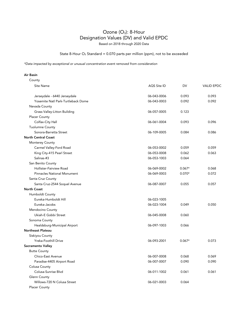State 8-Hour  $O_3$  Standard = 0.070 parts per million (ppm), not to be exceeded

*\*Data impacted by exceptional or unusual concentration event removed from consideration*

| County                              |             |          |                   |
|-------------------------------------|-------------|----------|-------------------|
| Site Name                           | AQS Site ID | DV       | <b>VALID EPDC</b> |
|                                     |             |          |                   |
| Jerseydale - 6440 Jerseydale        | 06-043-0006 | 0.093    | 0.093             |
| Yosemite Natl Park-Turtleback Dome  | 06-043-0003 | 0.092    | 0.092             |
| Nevada County                       |             |          |                   |
| <b>Grass Valley-Litton Building</b> | 06-057-0005 | 0.123    |                   |
| <b>Placer County</b>                |             |          |                   |
| Colfax-City Hall                    | 06-061-0004 | 0.093    | 0.096             |
| <b>Tuolumne County</b>              |             |          |                   |
| Sonora-Barretta Street              | 06-109-0005 | 0.084    | 0.086             |
| <b>North Central Coast</b>          |             |          |                   |
| Monterey County                     |             |          |                   |
| Carmel Valley-Ford Road             | 06-053-0002 | 0.059    | 0.059             |
| King City-415 Pearl Street          | 06-053-0008 | 0.062    | 0.063             |
| Salinas-#3                          | 06-053-1003 | 0.064    |                   |
| San Benito County                   |             |          |                   |
| Hollister-Fairview Road             | 06-069-0002 | $0.067*$ | 0.068             |
| Pinnacles National Monument         | 06-069-0003 | $0.070*$ | 0.072             |
| Santa Cruz County                   |             |          |                   |
| Santa Cruz-2544 Soquel Avenue       | 06-087-0007 | 0.055    | 0.057             |
| <b>North Coast</b>                  |             |          |                   |
| Humboldt County                     |             |          |                   |
| Eureka-Humboldt Hill                | 06-023-1005 |          |                   |
| Eureka-Jacobs                       | 06-023-1004 | 0.049    | 0.050             |
| Mendocino County                    |             |          |                   |
| Ukiah-E Gobbi Street                | 06-045-0008 | 0.060    |                   |
| Sonoma County                       |             |          |                   |
| Healdsburg-Municipal Airport        | 06-097-1003 | 0.066    |                   |
| Northeast Plateau                   |             |          |                   |
| Siskiyou County                     |             |          |                   |
| <b>Yreka-Foothill Drive</b>         | 06-093-2001 | $0.067*$ | 0.073             |
| Sacramento Valley                   |             |          |                   |
| <b>Butte County</b>                 |             |          |                   |
| Chico-East Avenue                   | 06-007-0008 | 0.068    | 0.069             |
| Paradise-4405 Airport Road          | 06-007-0007 | 0.090    | 0.090             |
| Colusa County                       |             |          |                   |
| Colusa-Sunrise Blvd                 | 06-011-1002 | 0.061    | 0.061             |
| Glenn County                        |             |          |                   |
| Willows-720 N Colusa Street         | 06-021-0003 | 0.064    |                   |
| <b>Placer County</b>                |             |          |                   |
|                                     |             |          |                   |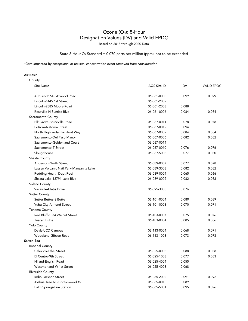State 8-Hour  $O_3$  Standard = 0.070 parts per million (ppm), not to be exceeded

*\*Data impacted by exceptional or unusual concentration event removed from consideration*

| County                                   |                    |           |                   |
|------------------------------------------|--------------------|-----------|-------------------|
| Site Name                                | <b>AQS Site ID</b> | <b>DV</b> | <b>VALID EPDC</b> |
| Auburn-11645 Atwood Road                 | 06-061-0003        | 0.099     | 0.099             |
| Lincoln-1445 1st Street                  | 06-061-2002        |           |                   |
| Lincoln-2885 Moore Road                  | 06-061-2003        | 0.088     |                   |
| Roseville-N Sunrise Blvd                 | 06-061-0006        | 0.084     | 0.084             |
| Sacramento County                        |                    |           |                   |
| Elk Grove-Bruceville Road                | 06-067-0011        | 0.078     | 0.078             |
| Folsom-Natoma Street                     | 06-067-0012        | 0.094     |                   |
| North Highlands-Blackfoot Way            | 06-067-0002        | 0.084     | 0.084             |
| Sacramento-Del Paso Manor                | 06-067-0006        | 0.082     | 0.082             |
| Sacramento-Goldenland Court              | 06-067-0014        |           |                   |
| Sacramento-T Street                      | 06-067-0010        | 0.076     | 0.076             |
| Sloughhouse                              | 06-067-5003        | 0.077     | 0.080             |
| Shasta County                            |                    |           |                   |
| Anderson-North Street                    | 06-089-0007        | 0.077     | 0.078             |
| Lassen Volcanic Natl Park-Manzanita Lake | 06-089-3003        | 0.082     | 0.082             |
| Redding-Health Dept Roof                 | 06-089-0004        | 0.065     | 0.066             |
| Shasta Lake-13791 Lake Blvd              | 06-089-0009        | 0.082     | 0.083             |
| Solano County                            |                    |           |                   |
| <b>Vacaville-Ulatis Drive</b>            | 06-095-3003        | 0.076     |                   |
| <b>Sutter County</b>                     |                    |           |                   |
| <b>Sutter Buttes-S Butte</b>             | 06-101-0004        | 0.089     | 0.089             |
| Yuba City-Almond Street                  | 06-101-0003        | 0.070     | 0.071             |
| Tehama County                            |                    |           |                   |
| Red Bluff-1834 Walnut Street             | 06-103-0007        | 0.075     | 0.076             |
| <b>Tuscan Butte</b>                      | 06-103-0004        | 0.085     | 0.086             |
| <b>Yolo County</b>                       |                    |           |                   |
| Davis-UCD Campus                         | 06-113-0004        | 0.068     | 0.071             |
| Woodland-Gibson Road                     | 06-113-1003        | 0.073     | 0.073             |
| <b>Salton Sea</b>                        |                    |           |                   |
| <b>Imperial County</b>                   |                    |           |                   |
| Calexico-Ethel Street                    | 06-025-0005        | 0.088     | 0.088             |
| El Centro-9th Street                     | 06-025-1003        | 0.077     | 0.083             |
| Niland-English Road                      | 06-025-4004        | 0.055     |                   |
| Westmorland-W 1st Street                 | 06-025-4003        | 0.068     |                   |
| Riverside County                         |                    |           |                   |
| Indio-Jackson Street                     | 06-065-2002        | 0.091     | 0.092             |
| Joshua Tree NP-Cottonwood #2             | 06-065-0010        | 0.089     |                   |
| Palm Springs-Fire Station                | 06-065-5001        | 0.095     | 0.096             |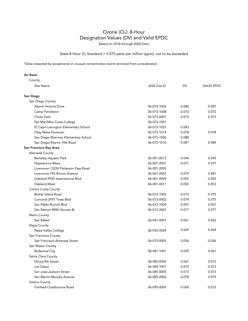State 8-Hour  $O_3$  Standard = 0.070 parts per million (ppm), not to be exceeded

| County                               |             |       |                   |
|--------------------------------------|-------------|-------|-------------------|
| <b>Site Name</b>                     | AQS Site ID | DV    | <b>VALID EPDC</b> |
| San Diego                            |             |       |                   |
| San Diego County                     |             |       |                   |
| Alpine-Victoria Drive                | 06-073-1006 | 0.086 | 0.087             |
| Camp Pendleton                       | 06-073-1008 | 0.072 | 0.072             |
| Chula Vista                          | 06-073-0001 | 0.073 | 0.073             |
| Del Mar-Mira Costa College           | 06-073-1001 |       |                   |
| El Cajon-Lexington Elementary School | 06-073-1022 | 0.083 |                   |
| Otay Mesa-Donovan                    | 06-073-1014 | 0.078 | 0.078             |
| San Diego-Sherman Elementary School  | 06-073-1026 | 0.088 |                   |
| San Diego-Kearny Villa Road          | 06-073-1016 | 0.081 | 0.084             |
| San Francisco Bay Area               |             |       |                   |
| Alameda County                       |             |       |                   |
| Berkeley-Aquatic Park                | 06-001-0013 | 0.044 | 0.045             |
| Hayward-La Mesa                      | 06-001-2001 | 0.071 | 0.077             |
| Livermore-13224 Patterson Pass Road  | 06-001-2005 |       |                   |
| Livermore-793 Rincon Avenue          | 06-001-0007 | 0.079 | 0.081             |
| Oakland-9925 International Blvd      | 06-001-0009 | 0.055 | 0.055             |
| Oakland-West                         | 06-001-0011 | 0.050 | 0.053             |
| Contra Costa County                  |             |       |                   |
| <b>Bethel Island Road</b>            | 06-013-1002 | 0.072 | 0.075             |
| Concord-2975 Treat Blvd              | 06-013-0002 | 0.074 | 0.075             |
| San Pablo-Rumrill Blvd               | 06-013-1004 | 0.057 | 0.057             |
| San Ramon-9885 Alcosta Bl            | 06-013-2007 | 0.077 | 0.077             |
| Marin County                         |             |       |                   |
| San Rafael                           | 06-041-0001 | 0.061 | 0.062             |
| Napa County                          |             |       |                   |
| Napa-Valley College                  | 06-055-0004 | 0.069 | 0.069             |
| San Francisco County                 |             |       |                   |
| San Francisco-Arkansas Street        | 06-075-0005 | 0.056 | 0.056             |
| San Mateo County                     |             |       |                   |
| Redwood City                         | 06-081-1001 | 0.059 | 0.061             |
| Santa Clara County                   |             |       |                   |
| Gilroy-9th Street                    | 06-085-0002 | 0.067 | 0.072             |
| Los Gatos                            | 06-085-1001 | 0.073 | 0.073             |
| San Jose-Jackson Street              | 06-085-0005 | 0.073 | 0.073             |
| San Martin-Murphy Avenue             | 06-085-2006 | 0.078 | 0.079             |
| Solano County                        |             |       |                   |
| Fairfield-Chadbourne Road            | 06-095-0005 | 0.068 | 0.072             |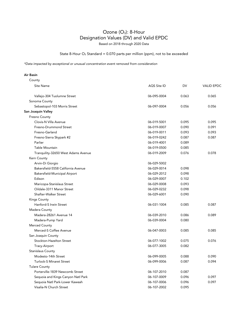State 8-Hour  $O_3$  Standard = 0.070 parts per million (ppm), not to be exceeded

*\*Data impacted by exceptional or unusual concentration event removed from consideration*

| County                              |             |       |                   |
|-------------------------------------|-------------|-------|-------------------|
| Site Name                           | AQS Site ID | DV    | <b>VALID EPDC</b> |
| Vallejo-304 Tuolumne Street         | 06-095-0004 | 0.063 | 0.065             |
| Sonoma County                       |             |       |                   |
| Sebastopol-103 Morris Street        | 06-097-0004 | 0.056 | 0.056             |
| San Joaquin Valley                  |             |       |                   |
| Fresno County                       |             |       |                   |
| Clovis-N Villa Avenue               | 06-019-5001 | 0.095 | 0.095             |
| Fresno-Drummond Street              | 06-019-0007 | 0.090 | 0.091             |
| Fresno-Garland                      | 06-019-0011 | 0.093 | 0.093             |
| Fresno-Sierra Skypark #2            | 06-019-0242 | 0.087 | 0.087             |
| Parlier                             | 06-019-4001 | 0.089 |                   |
| <b>Table Mountain</b>               | 06-019-0500 | 0.085 |                   |
| Tranquility-32650 West Adams Avenue | 06-019-2009 | 0.076 | 0.078             |
| Kern County                         |             |       |                   |
| Arvin-Di Giorgio                    | 06-029-5002 |       |                   |
| Bakersfield-5558 California Avenue  | 06-029-0014 | 0.098 |                   |
| Bakersfield-Municipal Airport       | 06-029-2012 | 0.098 |                   |
| Edison                              | 06-029-0007 | 0.102 |                   |
| Maricopa-Stanislaus Street          | 06-029-0008 | 0.093 |                   |
| Oildale-3311 Manor Street           | 06-029-0232 | 0.098 |                   |
| Shafter-Walker Street               | 06-029-6001 | 0.090 |                   |
| Kings County                        |             |       |                   |
| Hanford-S Irwin Street              | 06-031-1004 | 0.085 | 0.087             |
| Madera County                       |             |       |                   |
| Madera-28261 Avenue 14              | 06-039-2010 | 0.086 | 0.089             |
| Madera-Pump Yard                    | 06-039-0004 | 0.080 |                   |
| <b>Merced County</b>                |             |       |                   |
| Merced-S Coffee Avenue              | 06-047-0003 | 0.085 | 0.085             |
| San Joaquin County                  |             |       |                   |
| Stockton-Hazelton Street            | 06-077-1002 | 0.075 | 0.076             |
| Tracy-Airport                       | 06-077-3005 | 0.082 |                   |
| Stanislaus County                   |             |       |                   |
| Modesto-14th Street                 | 06-099-0005 | 0.088 | 0.090             |
| Turlock-S Minaret Street            | 06-099-0006 | 0.087 | 0.094             |
| <b>Tulare County</b>                |             |       |                   |
| Porterville-1839 Newcomb Street     | 06-107-2010 | 0.087 |                   |
| Sequoia and Kings Canyon Natl Park  | 06-107-0009 | 0.096 | 0.097             |
| Sequoia Natl Park-Lower Kaweah      | 06-107-0006 | 0.096 | 0.097             |
| Visalia-N Church Street             | 06-107-2002 | 0.095 |                   |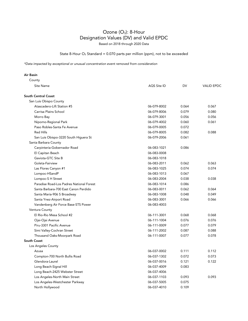State 8-Hour  $O_3$  Standard = 0.070 parts per million (ppm), not to be exceeded

| Air Basin                                |             |       |                   |
|------------------------------------------|-------------|-------|-------------------|
| County                                   |             |       |                   |
| Site Name                                | AQS Site ID | DV    | <b>VALID EPDC</b> |
| <b>South Central Coast</b>               |             |       |                   |
| San Luis Obispo County                   |             |       |                   |
| Atascadero-Lift Station #5               | 06-079-8002 | 0.064 | 0.067             |
| Carrisa Plains School                    | 06-079-8006 | 0.079 | 0.080             |
| Morro Bay                                | 06-079-3001 | 0.056 | 0.056             |
| Nipomo-Regional Park                     | 06-079-4002 | 0.060 | 0.061             |
| Paso Robles-Santa Fe Avenue              | 06-079-0005 | 0.072 |                   |
| <b>Red Hills</b>                         | 06-079-8005 | 0.082 | 0.088             |
| San Luis Obispo-3220 South Higuera St    | 06-079-2006 | 0.061 |                   |
| Santa Barbara County                     |             |       |                   |
| Carpinteria-Gobernador Road              | 06-083-1021 | 0.086 |                   |
| El Capitan Beach                         | 06-083-0008 |       |                   |
| Gaviota-GTC Site B                       | 06-083-1018 |       |                   |
| Goleta-Fairview                          | 06-083-2011 | 0.062 | 0.063             |
| Las Flores Canyon #1                     | 06-083-1025 | 0.074 | 0.074             |
| Lompoc-HSandP                            | 06-083-1013 | 0.067 |                   |
| Lompoc-S H Street                        | 06-083-2004 | 0.038 | 0.038             |
| Paradise Road-Los Padres National Forest | 06-083-1014 | 0.086 |                   |
| Santa Barbara-700 East Canon Perdido     | 06-083-0011 | 0.062 | 0.064             |
| Santa Maria-906 S Broadway               | 06-083-1008 | 0.048 | 0.049             |
| Santa Ynez-Airport Road                  | 06-083-3001 | 0.066 | 0.066             |
| Vandenberg Air Force Base-STS Power      | 06-083-4003 |       |                   |
| Ventura County                           |             |       |                   |
| El Rio-Rio Mesa School #2                | 06-111-3001 | 0.068 | 0.068             |
| Ojai-Ojai Avenue                         | 06-111-1004 | 0.076 | 0.076             |
| Piru-3301 Pacific Avenue                 | 06-111-0009 | 0.077 | 0.079             |
| Simi Valley-Cochran Street               | 06-111-2002 | 0.087 | 0.088             |
| Thousand Oaks-Moorpark Road              | 06-111-0007 | 0.077 | 0.078             |
| <b>South Coast</b>                       |             |       |                   |
| Los Angeles County                       |             |       |                   |
| Azusa                                    | 06-037-0002 | 0.111 | 0.112             |
| Compton-700 North Bullis Road            | 06-037-1302 | 0.072 | 0.073             |
| Glendora-Laurel                          | 06-037-0016 | 0.121 | 0.122             |
| Long Beach-Signal Hill                   | 06-037-4009 | 0.083 |                   |
| Long Beach-2425 Webster Street           | 06-037-4006 |       |                   |
| Los Angeles-North Main Street            | 06-037-1103 | 0.093 | 0.093             |
| Los Angeles-Westchester Parkway          | 06-037-5005 | 0.075 |                   |
| North Hollywood                          | 06-037-4010 | 0.109 |                   |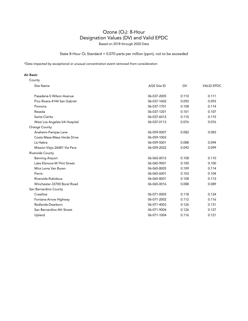State 8-Hour  $O_3$  Standard = 0.070 parts per million (ppm), not to be exceeded

*\*Data impacted by exceptional or unusual concentration event removed from consideration*

| County                       |             |           |                   |
|------------------------------|-------------|-----------|-------------------|
| Site Name                    | AQS Site ID | <b>DV</b> | <b>VALID EPDC</b> |
| Pasadena-S Wilson Avenue     | 06-037-2005 | 0.110     | 0.111             |
| Pico Rivera-4144 San Gabriel | 06-037-1602 | 0.092     | 0.093             |
| Pomona                       | 06-037-1701 | 0.108     | 0.114             |
| Reseda                       | 06-037-1201 | 0.101     | 0.107             |
| Santa Clarita                | 06-037-6012 | 0.110     | 0.115             |
| West Los Angeles-VA Hospital | 06-037-0113 | 0.076     | 0.076             |
| <b>Orange County</b>         |             |           |                   |
| Anaheim-Pampas Lane          | 06-059-0007 | 0.082     | 0.083             |
| Costa Mesa-Mesa Verde Drive  | 06-059-1003 |           |                   |
| La Habra                     | 06-059-5001 | 0.088     | 0.094             |
| Mission Viejo-26081 Via Pera | 06-059-2022 | 0.092     | 0.099             |
| Riverside County             |             |           |                   |
| <b>Banning Airport</b>       | 06-065-0012 | 0.108     | 0.110             |
| Lake Elsinore-W Flint Street | 06-065-9001 | 0.100     | 0.100             |
| Mira Loma Van Buren          | 06-065-8005 | 0.109     | 0.114             |
| Perris                       | 06-065-6001 | 0.103     | 0.104             |
| Riverside-Rubidoux           | 06-065-8001 | 0.108     | 0.113             |
| Winchester-33700 Borel Road  | 06-065-0016 | 0.088     | 0.089             |
| San Bernardino County        |             |           |                   |
| Crestline                    | 06-071-0005 | 0.118     | 0.124             |
| Fontana-Arrow Highway        | 06-071-2002 | 0.112     | 0.116             |
| Redlands-Dearborn            | 06-071-4003 | 0.126     | 0.131             |
| San Bernardino-4th Street    | 06-071-9004 | 0.126     | 0.127             |
| Upland                       | 06-071-1004 | 0.116     | 0.121             |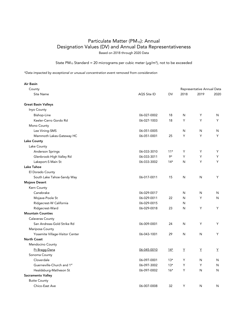State PM<sub>10</sub> Standard = 20 micrograms per cubic meter ( $\mu$ g/m<sup>3</sup>), not to be exceeded

| Air Basin                       |             |           |      |                            |      |
|---------------------------------|-------------|-----------|------|----------------------------|------|
| County                          |             |           |      | Representative Annual Data |      |
| <b>Site Name</b>                | AQS Site ID | <b>DV</b> | 2018 | 2019                       | 2020 |
| <b>Great Basin Valleys</b>      |             |           |      |                            |      |
| Inyo County                     |             |           |      |                            |      |
| Bishop-Line                     | 06-027-0002 | 18        | N    | Υ                          | N    |
| Keeler-Cerro Gordo Rd           | 06-027-1003 | 18        | Y    | Y                          | Y    |
| Mono County                     |             |           |      |                            |      |
| Lee Vining-SMS                  | 06-051-0005 |           | N    | N                          | N    |
| Mammoth Lakes-Gateway HC        | 06-051-0001 | 25        | Y    | Y                          | Y    |
| <b>Lake County</b>              |             |           |      |                            |      |
| Lake County                     |             |           |      |                            |      |
| Anderson Springs                | 06-033-3010 | $11*$     | Y    | Y                          | Y    |
| Glenbrook-High Valley Rd        | 06-033-3011 | 9*        | Y    | Y                          | Y    |
| Lakeport-S Main St              | 06-033-3002 | $14*$     | N    | Y                          | Y    |
| Lake Tahoe                      |             |           |      |                            |      |
| El Dorado County                |             |           |      |                            |      |
| South Lake Tahoe-Sandy Way      | 06-017-0011 | 15        | N    | N                          | Y    |
| <b>Mojave Desert</b>            |             |           |      |                            |      |
| Kern County                     |             |           |      |                            |      |
| Canebrake                       | 06-029-0017 |           | N    | N                          | N    |
| Mojave-Poole St                 | 06-029-0011 | 22        | N    | Y                          | N    |
| Ridgecrest-W California         | 06-029-0015 |           | N    |                            |      |
| Ridgecrest-Ward                 | 06-029-0018 | 23        | N    | Y                          | Y    |
| <b>Mountain Counties</b>        |             |           |      |                            |      |
| <b>Calaveras County</b>         |             |           |      |                            |      |
| San Andreas-Gold Strike Rd      | 06-009-0001 | 24        | N    | Y                          | Y    |
| Mariposa County                 |             |           |      |                            |      |
| Yosemite Village-Visitor Center | 06-043-1001 | 29        | N    | N                          | Y    |
| <b>North Coast</b>              |             |           |      |                            |      |
| Mendocino County                |             |           |      |                            |      |
| Ft Bragg-Dana                   | 06-045-0010 | $14*$     | Y    | Y                          | Y    |
| Sonoma County                   |             |           |      |                            |      |
| Cloverdale                      | 06-097-0001 | $13*$     | Υ    | N                          | N    |
| Guerneville-Church and 1st      | 06-097-3002 | $13*$     | Y    | Y                          | N    |
| Healdsburg-Matheson St          | 06-097-0002 | $16*$     | Y    | N                          | N    |
| Sacramento Valley               |             |           |      |                            |      |
| <b>Butte County</b>             |             |           |      |                            |      |
| Chico-East Ave                  | 06-007-0008 | 32        | Υ    | N                          | N    |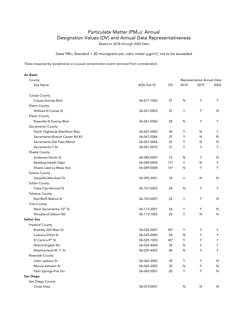State PM<sub>10</sub> Standard = 20 micrograms per cubic meter ( $\mu$ g/m<sup>3</sup>), not to be exceeded

| Air Basin                           |             |           |      |                            |      |
|-------------------------------------|-------------|-----------|------|----------------------------|------|
| County                              |             |           |      | Representative Annual Data |      |
| Site Name                           | AQS Site ID | <b>DV</b> | 2018 | 2019                       | 2020 |
| Colusa County                       |             |           |      |                            |      |
| Colusa-Sunrise Blvd                 | 06-011-1002 | 37        | N    | Υ                          | Υ    |
| Glenn County                        |             |           |      |                            |      |
| Willows-N Colusa St                 | 06-021-0003 | 37        | Υ    | Υ                          | N    |
| Placer County                       |             |           |      |                            |      |
| Roseville-N Sunrise Blvd            | 06-061-0006 | 28        | N    | Υ                          | Υ    |
| Sacramento County                   |             |           |      |                            |      |
| North Highlands-Blackfoot Way       | 06-067-0002 | 30        | Υ    | N                          | Υ    |
| Sacramento-Branch Center Rd #2      | 06-067-0284 | 27        | Y    | N                          | N    |
| Sacramento-Del Paso Manor           | 06-067-0006 | 25        | Υ    | N                          | N    |
| Sacramento-T St                     | 06-067-0010 | 31        | Y    | Y                          | Y    |
| Shasta County                       |             |           |      |                            |      |
| Anderson-North St                   | 06-089-0007 | 15        | N    | Y                          | N    |
| Redding-Health Dept                 | 06-089-0004 | $17*$     | Y    | N                          | Y    |
| Shasta Lake-La Mesa Ave             | 06-089-0008 | $16*$     | N    | Y                          | Y    |
| Solano County                       |             |           |      |                            |      |
| Vacaville-Merchant St               | 06-095-3001 | 18        | Υ    | N                          | N    |
| <b>Sutter County</b>                |             |           |      |                            |      |
| Yuba City-Almond St                 | 06-101-0003 | 28        | N    | Υ                          | Υ    |
| Tehama County                       |             |           |      |                            |      |
| <b>Red Bluff-Walnut St</b>          | 06-103-0007 | 24        | Υ    | Υ                          | N    |
| Yolo County                         |             |           |      |                            |      |
| West Sacramento-15 <sup>th</sup> St | 06-113-2001 | 24        | Y    | Υ                          | N    |
| Woodland-Gibson Rd                  | 06-113-1003 | 26        | Υ    | $\mathsf{N}$               | N    |
| <b>Salton Sea</b>                   |             |           |      |                            |      |
| <b>Imperial County</b>              |             |           |      |                            |      |
| Brawley-220 Main St                 | 06-025-0007 | 45*       | Y    | Y                          | Υ    |
| Calexico-Ethel St                   | 06-025-0005 | 54        | N    | Y                          | Y    |
| El Centro-9th St                    | 06-025-1003 | 45*       | Y    | Y                          | Y    |
| Niland-English Rd                   | 06-025-4004 | 36        | N    | Y                          | Y    |
| Westmorland-W 1st St                | 06-025-4003 | 40        | N    | Y                          | Υ    |
| Riverside County                    |             |           |      |                            |      |
| Indio-Jackson St                    | 06-065-2002 | 39        | Υ    | Υ                          | N    |
| Mecca-Johnson St                    | 06-065-2005 | 35        | N    | Y                          | N    |
| Palm Springs-Fire Stn               | 06-065-5001 | 20        | Y    | Y                          | N    |
| San Diego                           |             |           |      |                            |      |
| San Diego County                    |             |           |      |                            |      |
| Chula Vista                         | 06-073-0001 |           | N    | ${\sf N}$                  | N    |
|                                     |             |           |      |                            |      |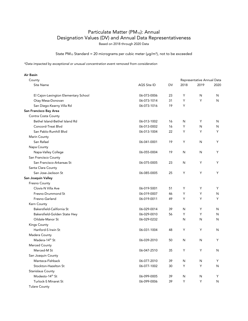State PM<sub>10</sub> Standard = 20 micrograms per cubic meter ( $\mu$ g/m<sup>3</sup>), not to be exceeded

*\*Data impacted by exceptional or unusual concentration event removed from consideration*

| County                               |             |    | Representative Annual Data |      |      |  |
|--------------------------------------|-------------|----|----------------------------|------|------|--|
| <b>Site Name</b>                     | AQS Site ID | DV | 2018                       | 2019 | 2020 |  |
| El Cajon-Lexington Elementary School | 06-073-0006 | 23 | Υ                          | N    | N    |  |
| Otay Mesa-Donovan                    | 06-073-1014 | 31 | Y                          | Y    | N    |  |
| San Diego-Kearny Villa Rd            | 06-073-1016 | 19 | Y                          |      |      |  |
| San Francisco Bay Area               |             |    |                            |      |      |  |
| Contra Costa County                  |             |    |                            |      |      |  |
| Bethel Island-Bethel Island Rd       | 06-013-1002 | 16 | N                          | Y    | N    |  |
| Concord-Treat Blvd                   | 06-013-0002 | 16 | Y                          | N    | N    |  |
| San Pablo-Rumhill Blvd               | 06-013-1004 | 22 | Y                          | Y    | Y    |  |
| Marin County                         |             |    |                            |      |      |  |
| San Rafael                           | 06-041-0001 | 19 | Y                          | N    | Y    |  |
| Napa County                          |             |    |                            |      |      |  |
| Napa-Valley College                  | 06-055-0004 | 19 | N                          | N    | Y    |  |
| San Francisco County                 |             |    |                            |      |      |  |
| San Francisco-Arkansas St            | 06-075-0005 | 23 | N                          | Υ    | Y    |  |
| Santa Clara County                   |             |    |                            |      |      |  |
| San Jose-Jackson St                  | 06-085-0005 | 25 | Y                          | Y    | Y    |  |
| San Joaquin Valley                   |             |    |                            |      |      |  |
| Fresno County                        |             |    |                            |      |      |  |
| Clovis-N Villa Ave                   | 06-019-5001 | 51 | Y                          | Y    | Y    |  |
| Fresno-Drummond St                   | 06-019-0007 | 46 | Υ                          | Y    | N    |  |
| Fresno-Garland                       | 06-019-0011 | 49 | Y                          | Y    | Y    |  |
| Kern County                          |             |    |                            |      |      |  |
| Bakersfield-California St            | 06-029-0014 | 39 | N                          | Y    | N    |  |
| Bakersfield-Golden State Hwy         | 06-029-0010 | 56 | Y                          | Y    | N    |  |
| Oildale-Manor St                     | 06-029-0232 |    | N                          | N    | N    |  |
| Kings County                         |             |    |                            |      |      |  |
| Hanford-S Irwin St                   | 06-031-1004 | 48 | Y                          | Y    | N    |  |
| Madera County                        |             |    |                            |      |      |  |
| Madera-14 <sup>th</sup> St           | 06-039-2010 | 50 | N                          | N    | Y    |  |
| Merced County                        |             |    |                            |      |      |  |
| Merced-M St                          | 06-047-2510 | 35 | Υ                          | Y    | N    |  |
| San Joaquin County                   |             |    |                            |      |      |  |
| Manteca-Fishback                     | 06-077-2010 | 39 | N                          | N    | Y    |  |
| Stockton-Hazelton St                 | 06-077-1002 | 30 | Υ                          | Y    | N    |  |
| Stanislaus County                    |             |    |                            |      |      |  |
| Modesto-14 <sup>th</sup> St          | 06-099-0005 | 39 | N                          | N    | Y    |  |
| <b>Turlock-S Minaret St</b>          | 06-099-0006 | 39 | Y                          | Y    | N    |  |
| <b>Tulare County</b>                 |             |    |                            |      |      |  |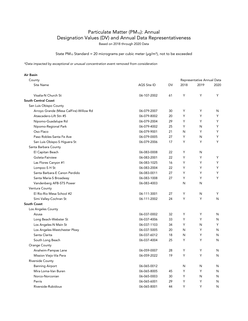State PM<sub>10</sub> Standard = 20 micrograms per cubic meter ( $\mu$ g/m<sup>3</sup>), not to be exceeded

*\*Data impacted by exceptional or unusual concentration event removed from consideration*

| County                                 |             |           | Representative Annual Data |      |      |  |
|----------------------------------------|-------------|-----------|----------------------------|------|------|--|
| Site Name                              | AQS Site ID | <b>DV</b> | 2018                       | 2019 | 2020 |  |
| Visalia-N Church St                    | 06-107-2002 | 61        | Y                          | Y    | Y    |  |
| <b>South Central Coast</b>             |             |           |                            |      |      |  |
| San Luis Obispo County                 |             |           |                            |      |      |  |
| Arroyo Grande (Mesa CalFire)-Willow Rd | 06-079-2007 | 30        | Υ                          | Υ    | N    |  |
| Atascadero-Lift Stn #5                 | 06-079-8002 | 20        | Υ                          | Y    | Y    |  |
| Nipomo-Guadalupe Rd                    | 06-079-2004 | 29        | Y                          | Y    | Y    |  |
| Nipomo-Regional Park                   | 06-079-4002 | 25        | Y                          | N    | Y    |  |
| Oso Flaco                              | 06-079-9001 | 21        | N                          | Y    | Y    |  |
| Paso Robles-Santa Fe Ave               | 06-079-0005 | 27        | Y                          | N    | Y    |  |
| San Luis Obispo-S Higuera St           | 06-079-2006 | 17        | Y                          | Y    | Y    |  |
| Santa Barbara County                   |             |           |                            |      |      |  |
| El Capitan Beach                       | 06-083-0008 | 22        | Υ                          | N    |      |  |
| Goleta-Fairview                        | 06-083-2001 | 22        | Y                          | Y    | Υ    |  |
| Las Flores Canyon #1                   | 06-083-1025 | 16        | Υ                          | Y    | Y    |  |
| Lompoc-S H St                          | 06-083-2004 | 22        | Y                          | Y    | Y    |  |
| Santa Barbara-E Canon Perdido          | 06-083-0011 | 27        | Y                          | Y    | Y    |  |
| Santa Maria-S Broadway                 | 06-083-1008 | 27        | Y                          | Y    | Y    |  |
| Vandenberg AFB-STS Power               | 06-083-4003 |           | N                          | N    |      |  |
| Ventura County                         |             |           |                            |      |      |  |
| El Rio-Rio Mesa School #2              | 06-111-3001 | 27        | Y                          | N    | Y    |  |
| Simi Valley-Cochran St                 | 06-111-2002 | 24        | Y                          | Y    | N    |  |
| South Coast                            |             |           |                            |      |      |  |
| Los Angeles County                     |             |           |                            |      |      |  |
| Azusa                                  | 06-037-0002 | 32        | Υ                          | Υ    | N    |  |
| Long Beach-Webster St                  | 06-037-4006 | 33        | Y                          | Y    | N    |  |
| Los Angeles-N Main St                  | 06-037-1103 | 34        | Y                          | N    | Y    |  |
| Los Angeles-Westchester Pkwy           | 06-037-5005 | 20        | N                          | Y    | N    |  |
| Santa Clarita                          | 06-037-6012 | 18        | N                          | Y    | N    |  |
| South Long Beach                       | 06-037-4004 | 25        | Y                          | Y    | N    |  |
| Orange County                          |             |           |                            |      |      |  |
| Anaheim-Pampas Lane                    | 06-059-0007 | 28        | Υ                          | Υ    | N    |  |
| Mission Viejo-Via Pera                 | 06-059-2022 | 19        | Y                          | Y    | N    |  |
| Riverside County                       |             |           |                            |      |      |  |
| <b>Banning Airport</b>                 | 06-065-0012 |           | N                          | N    | N    |  |
| Mira Loma-Van Buren                    | 06-065-8005 | 45        | Y                          | Y    | N    |  |
| Norco-Norconian                        | 06-065-0003 | 30        | Y                          | N    | N    |  |
| Perris                                 | 06-065-6001 | 29        | Y                          | Y    | N    |  |
| Riverside-Rubidoux                     | 06-065-8001 | 44        | Y                          | Y    | N    |  |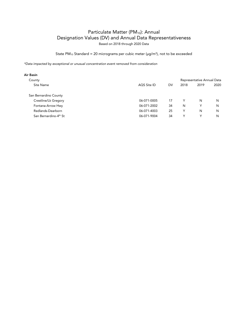State PM<sub>10</sub> Standard = 20 micrograms per cubic meter ( $\mu$ g/m<sup>3</sup>), not to be exceeded

| AQS Site ID | DV | 2018 | 2019 | 2020                       |
|-------------|----|------|------|----------------------------|
|             |    |      |      |                            |
| 06-071-0005 | 17 | Υ    | N    | N                          |
| 06-071-2002 | 34 | N    | v    | N                          |
| 06-071-4003 | 25 | Υ    | N    | N                          |
| 06-071-9004 | 34 | Υ    | v    | N                          |
|             |    |      |      | Representative Annual Data |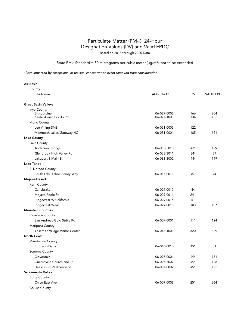### Particulate Matter (PM<sub>10</sub>): 24-Hour Designation Values (DV) and Valid EPDC Based on 2018 through 2020 Data

State PM<sub>10</sub> Standard = 50 micrograms per cubic meter ( $\mu$ g/m<sup>3</sup>), not to be exceeded

| Air Basin                                           |                            |            |                   |
|-----------------------------------------------------|----------------------------|------------|-------------------|
| County                                              |                            |            |                   |
| Site Name                                           | AQS Site ID                | <b>DV</b>  | <b>VALID EPDC</b> |
| <b>Great Basin Valleys</b>                          |                            |            |                   |
| Inyo County<br>Bishop-Line<br>Keeler-Cerro Gordo Rd | 06-027-0002<br>06-027-1003 | 166<br>134 | 204<br>152        |
| Mono County                                         |                            |            |                   |
| Lee Vining-SMS                                      | 06-051-0005                | 122        |                   |
| Mammoth Lakes-Gateway HC                            | 06-051-0001                | 185        | 191               |
| <b>Lake County</b>                                  |                            |            |                   |
| Lake County                                         |                            |            |                   |
| Anderson Springs                                    | 06-033-3010                | $43*$      | 129               |
| Glenbrook-High Valley Rd                            | 06-033-3011                | $34*$      | 87                |
| Lakeport-S Main St                                  | 06-033-3002                | 44*        | 149               |
| Lake Tahoe                                          |                            |            |                   |
| El Dorado County                                    |                            |            |                   |
| South Lake Tahoe-Sandy Way                          | 06-017-0011                | 87         | 94                |
| <b>Mojave Desert</b>                                |                            |            |                   |
| Kern County                                         |                            |            |                   |
| Canebrake                                           | 06-029-0017                | 44         |                   |
| Mojave-Poole St                                     | 06-029-0011                | 241        |                   |
| Ridgecrest-W California                             | 06-029-0015                | 51         |                   |
| Ridgecrest-Ward                                     | 06-029-0018                | 103        | 107               |
| <b>Mountain Counties</b>                            |                            |            |                   |
| Calaveras County                                    |                            |            |                   |
| San Andreas-Gold Strike Rd                          | 06-009-0001                | 111        | 124               |
| Mariposa County                                     |                            |            |                   |
| Yosemite Village-Visitor Center                     | 06-043-1001                | 320        | 329               |
| <b>North Coast</b>                                  |                            |            |                   |
| Mendocino County                                    |                            |            |                   |
| Ft Bragg-Dana                                       | 06-045-0010                | $49*$      | 81                |
| Sonoma County                                       |                            |            |                   |
| Cloverdale                                          | 06-097-0001                | 49*        | 131               |
| Guerneville-Church and 1st                          | 06-097-3002                | 49*        | 108               |
| Healdsburg-Matheson St                              | 06-097-0002                | 49*        | 122               |
| Sacramento Valley                                   |                            |            |                   |
| <b>Butte County</b>                                 |                            |            |                   |
| Chico-East Ave                                      | 06-007-0008                | 251        | 264               |
| Colusa County                                       |                            |            |                   |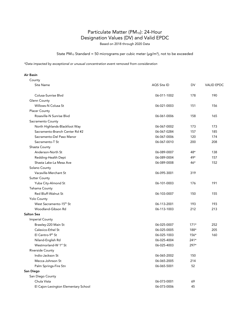Based on 2018 through 2020 Data

### State PM<sub>10</sub> Standard = 50 micrograms per cubic meter ( $\mu$ g/m<sup>3</sup>), not to be exceeded

*\*Data impacted by exceptional or unusual concentration event removed from consideration*

| County                               |             |        |                   |
|--------------------------------------|-------------|--------|-------------------|
| <b>Site Name</b>                     | AQS Site ID | DV     | <b>VALID EPDC</b> |
| Colusa-Sunrise Blvd                  | 06-011-1002 | 178    | 190               |
| Glenn County                         |             |        |                   |
| Willows-N Colusa St                  | 06-021-0003 | 151    | 156               |
| <b>Placer County</b>                 |             |        |                   |
| Roseville-N Sunrise Blvd             | 06-061-0006 | 158    | 165               |
| Sacramento County                    |             |        |                   |
| North Highlands-Blackfoot Way        | 06-067-0002 | 173    | 173               |
| Sacramento-Branch Center Rd #2       | 06-067-0284 | 157    | 185               |
| Sacramento-Del Paso Manor            | 06-067-0006 | 120    | 174               |
| Sacramento-T St                      | 06-067-0010 | 200    | 208               |
| Shasta County                        |             |        |                   |
| Anderson-North St                    | 06-089-0007 | 48*    | 138               |
| Redding-Health Dept                  | 06-089-0004 | 49*    | 157               |
| Shasta Lake-La Mesa Ave              | 06-089-0008 | $46*$  | 152               |
| Solano County                        |             |        |                   |
| Vacaville-Merchant St                | 06-095-3001 | 319    |                   |
| <b>Sutter County</b>                 |             |        |                   |
| Yuba City-Almond St                  | 06-101-0003 | 176    | 191               |
| Tehama County                        |             |        |                   |
| Red Bluff-Walnut St                  | 06-103-0007 | 150    | 155               |
| <b>Yolo County</b>                   |             |        |                   |
| West Sacramento-15 <sup>th</sup> St  | 06-113-2001 | 193    | 193               |
| Woodland-Gibson Rd                   | 06-113-1003 | 212    | 213               |
| <b>Salton Sea</b>                    |             |        |                   |
| <b>Imperial County</b>               |             |        |                   |
| Brawley-220 Main St                  | 06-025-0007 | $171*$ | 252               |
| Calexico-Ethel St                    | 06-025-0005 | 188*   | 205               |
| El Centro-9th St                     | 06-025-1003 | $156*$ | 160               |
| Niland-English Rd                    | 06-025-4004 | $241*$ |                   |
| Westmorland-W 1 <sup>st</sup> St     | 06-025-4003 | 297*   |                   |
| Riverside County                     |             |        |                   |
| Indio-Jackson St                     | 06-065-2002 | 150    |                   |
| Mecca-Johnson St                     | 06-065-2005 | 214    |                   |
| Palm Springs-Fire Stn                | 06-065-5001 | 52     |                   |
| San Diego                            |             |        |                   |
| San Diego County                     |             |        |                   |
| Chula Vista                          | 06-073-0001 | 69     |                   |
| El Cajon-Lexington Elementary School | 06-073-0006 | 45     |                   |
|                                      |             |        |                   |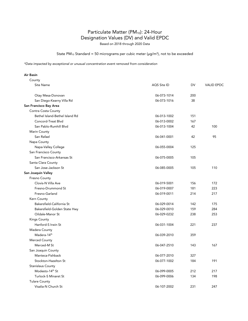Based on 2018 through 2020 Data

State PM<sub>10</sub> Standard = 50 micrograms per cubic meter ( $\mu$ g/m<sup>3</sup>), not to be exceeded

*\*Data impacted by exceptional or unusual concentration event removed from consideration*

| County                                           |             |     |                   |
|--------------------------------------------------|-------------|-----|-------------------|
| Site Name                                        | AQS Site ID | DV  | <b>VALID EPDC</b> |
| Otay Mesa-Donovan                                | 06-073-1014 | 200 |                   |
| San Diego-Kearny Villa Rd                        | 06-073-1016 | 38  |                   |
| San Francisco Bay Area                           |             |     |                   |
| Contra Costa County                              |             |     |                   |
| Bethel Island-Bethel Island Rd                   | 06-013-1002 | 151 |                   |
| Concord-Treat Blvd                               | 06-013-0002 | 167 |                   |
| San Pablo-Rumhill Blvd                           | 06-013-1004 | 42  | 100               |
| Marin County                                     |             |     |                   |
| San Rafael                                       | 06-041-0001 | 42  | 95                |
| Napa County                                      |             |     |                   |
| Napa-Valley College                              | 06-055-0004 | 125 |                   |
| San Francisco County                             |             |     |                   |
| San Francisco-Arkansas St                        | 06-075-0005 | 105 |                   |
| Santa Clara County                               |             |     |                   |
| San Jose-Jackson St                              | 06-085-0005 | 105 | 110               |
| San Joaquin Valley                               |             |     |                   |
| Fresno County                                    |             |     |                   |
| Clovis-N Villa Ave                               | 06-019-5001 | 156 | 172               |
| Fresno-Drummond St                               | 06-019-0007 | 181 | 223               |
| Fresno-Garland                                   | 06-019-0011 | 214 | 217               |
| Kern County                                      |             |     |                   |
| Bakersfield-California St                        | 06-029-0014 | 142 | 175               |
| Bakersfield-Golden State Hwy                     | 06-029-0010 | 159 | 284               |
| Oildale-Manor St                                 | 06-029-0232 | 238 | 253               |
| <b>Kings County</b>                              |             |     |                   |
| Hanford-S Irwin St                               | 06-031-1004 | 221 | 237               |
| Madera County                                    |             |     |                   |
| Madera-14 <sup>th</sup>                          | 06-039-2010 | 359 |                   |
| Merced County                                    |             |     |                   |
| Merced-M St                                      | 06-047-2510 | 143 | 167               |
| San Joaquin County                               |             |     |                   |
| Manteca-Fishback                                 | 06-077-2010 | 327 |                   |
| Stockton-Hazelton St                             | 06-077-1002 | 184 | 191               |
|                                                  |             |     |                   |
| Stanislaus County<br>Modesto-14 <sup>th</sup> St |             |     |                   |
|                                                  | 06-099-0005 | 212 | 217               |
| Turlock-S Minaret St                             | 06-099-0006 | 134 | 198               |
| <b>Tulare County</b>                             |             |     |                   |
| Visalia-N Church St                              | 06-107-2002 | 231 | 247               |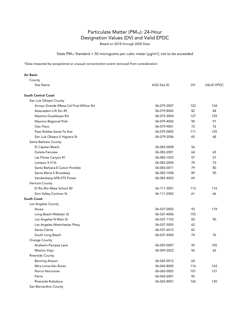Based on 2018 through 2020 Data

### State PM<sub>10</sub> Standard = 50 micrograms per cubic meter ( $\mu$ g/m<sup>3</sup>), not to be exceeded

| Air Basin                               |             |     |                   |
|-----------------------------------------|-------------|-----|-------------------|
| County                                  |             |     |                   |
| Site Name                               | AQS Site ID | DV  | <b>VALID EPDC</b> |
| <b>South Central Coast</b>              |             |     |                   |
| San Luis Obispo County                  |             |     |                   |
| Arroyo Grande (Mesa Cal Fire)-Willow Rd | 06-079-2007 | 122 | 134               |
| Atascadero-Lift Stn #5                  | 06-079-8002 | 82  | 84                |
| Nipomo-Guadalupe Rd                     | 06-079-2004 | 127 | 129               |
| Nipomo-Regional Park                    | 06-079-4002 | 90  | 91                |
| Oso Flaco                               | 06-079-9001 | 72  | 76                |
| Paso Robles-Santa Fe Ave                | 06-079-0005 | 111 | 125               |
| San Luis Obispo-S Higuera St            | 06-079-2006 | 65  | 68                |
| Santa Barbara County                    |             |     |                   |
| El Capitan Beach                        | 06-083-0008 | 56  |                   |
| Goleta-Fairview                         | 06-083-2001 | 64  | 65                |
| Las Flores Canyon #1                    | 06-083-1025 | 57  | 57                |
| Lompoc-S H St                           | 06-083-2004 | 70  | 72                |
| Santa Barbara-E Canon Perdido           | 06-083-0011 | 79  | 80                |
| Santa Maria-S Broadway                  | 06-083-1008 | 89  | 90                |
| Vandenberg AFB-STS Power                | 06-083-4003 | 69  |                   |
| Ventura County                          |             |     |                   |
| El Rio-Rio Mesa School #2               | 06-111-3001 | 113 | 116               |
| Simi Valley-Cochran St                  | 06-111-2002 | 61  | 66                |
| <b>South Coast</b>                      |             |     |                   |
| Los Angeles County                      |             |     |                   |
| Azusa                                   | 06-037-0002 | 93  | 118               |
| Long Beach-Webster St                   | 06-037-4006 | 155 |                   |
| Los Angeles-N Main St                   | 06-037-1103 | 83  | 90                |
| Los Angeles-Westchester Pkwy            | 06-037-5005 | 62  |                   |
| Santa Clarita                           | 06-037-6012 | 65  |                   |
| South Long Beach                        | 06-037-4004 | 74  | 76                |
| <b>Orange County</b>                    |             |     |                   |
| Anaheim-Pampas Lane                     | 06-059-0007 | 95  | 105               |
| Mission Viejo                           | 06-059-2022 | 56  | 62                |
| Riverside County                        |             |     |                   |
| <b>Banning Airport</b>                  | 06-065-0012 | 64  |                   |
| Mira Loma-Van Buren                     | 06-065-8005 | 116 | 143               |
| Norco-Norconian                         | 06-065-0003 | 101 | 121               |
| Perris                                  | 06-065-6001 | 92  |                   |
| Riverside-Rubidoux                      | 06-065-8001 | 126 | 130               |
| San Bernardino County                   |             |     |                   |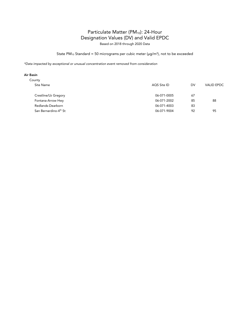Based on 2018 through 2020 Data

### State PM<sub>10</sub> Standard = 50 micrograms per cubic meter ( $\mu$ g/m<sup>3</sup>), not to be exceeded

*\*Data impacted by exceptional or unusual concentration event removed from consideration*

| County                            |             |    |                   |  |
|-----------------------------------|-------------|----|-------------------|--|
| Site Name                         | AOS Site ID | DV | <b>VALID EPDC</b> |  |
| Crestline/Lk Gregory              | 06-071-0005 | 67 |                   |  |
| Fontana-Arrow Hwy                 | 06-071-2002 | 85 | 88                |  |
| Redlands-Dearborn                 | 06-071-4003 | 83 |                   |  |
| San Bernardino-4 <sup>th</sup> St | 06-071-9004 | 92 | 95                |  |
|                                   |             |    |                   |  |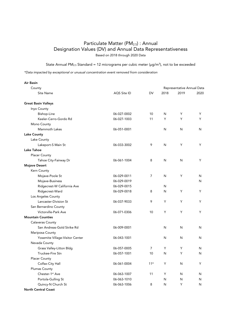State Annual PM<sub>2.5</sub> Standard = 12 micrograms per cubic meter ( $\mu$ g/m<sup>3</sup>), not to be exceeded

| <b>Air Basin</b>                |                    |                |      |                            |      |
|---------------------------------|--------------------|----------------|------|----------------------------|------|
| County                          |                    |                |      | Representative Annual Data |      |
| <b>Site Name</b>                | <b>AQS Site ID</b> | DV             | 2018 | 2019                       | 2020 |
| <b>Great Basin Valleys</b>      |                    |                |      |                            |      |
| Inyo County                     |                    |                |      |                            |      |
| Bishop-Line                     | 06-027-0002        | 10             | N    | Y                          | Y    |
| Keeler-Cerro-Gordo Rd           | 06-027-1003        | 11             | Y    | Y                          | Y    |
| Mono County                     |                    |                |      |                            |      |
| Mammoth Lakes                   | 06-051-0001        |                | N    | N                          | N    |
| <b>Lake County</b>              |                    |                |      |                            |      |
| Lake County                     |                    |                |      |                            |      |
| Lakeport-S Main St              | 06-033-3002        | 9              | N    | Y                          | Y    |
| Lake Tahoe                      |                    |                |      |                            |      |
| <b>Placer County</b>            |                    |                |      |                            |      |
| Tahoe City-Fairway Dr           | 06-061-1004        | 8              | N    | N                          | Y    |
| <b>Mojave Desert</b>            |                    |                |      |                            |      |
| Kern County                     |                    |                |      |                            |      |
| Mojave-Poole St                 | 06-029-0011        | $\overline{7}$ | N    | Y                          | N    |
| Mojave-Business                 | 06-029-0019        |                |      |                            | N    |
| Ridgecrest-W California Ave     | 06-029-0015        |                | N    |                            |      |
| Ridgecrest-Ward                 | 06-029-0018        | 8              | N    | Y                          | Y    |
| Los Angeles County              |                    |                |      |                            |      |
| Lancaster-Division St           | 06-037-9033        | 9              | Y    | Y                          | Y    |
| San Bernardino County           |                    |                |      |                            |      |
| Victorville-Park Ave            | 06-071-0306        | 10             | Y    | Y                          | Y    |
| <b>Mountain Counties</b>        |                    |                |      |                            |      |
| <b>Calaveras County</b>         |                    |                |      |                            |      |
| San Andreas-Gold Strike Rd      | 06-009-0001        |                | N    | N                          | N    |
| Mariposa County                 |                    |                |      |                            |      |
| Yosemite Village-Visitor Center | 06-043-1001        |                | N    | N                          | N    |
| Nevada County                   |                    |                |      |                            |      |
| <b>Grass Valley-Litton Bldg</b> | 06-057-0005        | 7              | Y    | Y                          | N    |
| Truckee-Fire Stn                | 06-057-1001        | 10             | N    | Y                          | N    |
| <b>Placer County</b>            |                    |                |      |                            |      |
| Colfax-City Hall                | 06-061-0004        | $11*$          | Y    | N                          | Y    |
| Plumas County                   |                    |                |      |                            |      |
| Chester-1 <sup>st</sup> Ave     | 06-063-1007        | 11             | Y    | N                          | N    |
| Portola-Gulling St              | 06-063-1010        |                | N    | N                          | N    |
| Quincy-N Church St              | 06-063-1006        | 8              | N    | Y                          | N    |
| <b>North Central Coast</b>      |                    |                |      |                            |      |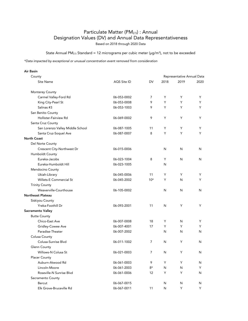State Annual PM<sub>2.5</sub> Standard = 12 micrograms per cubic meter ( $\mu$ g/m<sup>3</sup>), not to be exceeded

| <b>Air Basin</b>                 |             |       |      |                            |      |
|----------------------------------|-------------|-------|------|----------------------------|------|
| County                           |             |       |      | Representative Annual Data |      |
| <b>Site Name</b>                 | AQS Site ID | DV    | 2018 | 2019                       | 2020 |
| Monterey County                  |             |       |      |                            |      |
| Carmel Valley-Ford Rd            | 06-053-0002 | 7     | Y    | Y                          | Y    |
| King City-Pearl St               | 06-053-0008 | 9     | Y    | Y                          | Y    |
| Salinas #3                       | 06-053-1003 | 9     | Y    | Y                          | Y    |
| San Benito County                |             |       |      |                            |      |
| Hollister-Fairview Rd            | 06-069-0002 | 9     | Y    | Y                          | Y    |
| Santa Cruz County                |             |       |      |                            |      |
| San Lorenzo Valley Middle School | 06-087-1005 | 11    | Y    | Y                          | Y    |
| Santa Cruz-Soquel Ave            | 06-087-0007 | 8     | Y    | Y                          | Y    |
| <b>North Coast</b>               |             |       |      |                            |      |
| Del Norte County                 |             |       |      |                            |      |
| Crescent City-Northwest Dr       | 06-015-0006 |       | N    | N                          | N    |
| Humboldt County                  |             |       |      |                            |      |
| Eureka-Jacobs                    | 06-023-1004 | 8     | Y    | N                          | N    |
| Eureka-Humboldt Hill             | 06-023-1005 |       | N    |                            |      |
| Mendocino County                 |             |       |      |                            |      |
| Ukiah-Library                    | 06-045-0006 | 11    | Y    | Y                          | Y    |
| <b>Willets-E Commercial St</b>   | 06-045-2002 | $10*$ | Y    | N                          | Y    |
| <b>Trinity County</b>            |             |       |      |                            |      |
| Weaverville-Courthouse           | 06-105-0002 |       | N    | N                          | N    |
| <b>Northeast Plateau</b>         |             |       |      |                            |      |
| Siskiyou County                  |             |       |      |                            |      |
| Yreka-Foothill Dr                | 06-093-2001 | 11    | N    | Y                          | Y    |
| Sacramento Valley                |             |       |      |                            |      |
| <b>Butte County</b>              |             |       |      |                            |      |
| Chico-East Ave                   | 06-007-0008 | 18    | Y    | N                          | Y    |
| Gridley-Cowee Ave                | 06-007-4001 | 17    | Y    | Y                          | Y    |
| Paradise-Theater                 | 06-007-2002 |       | N    | N                          | N    |
| Colusa County                    |             |       |      |                            |      |
| Colusa-Sunrise Blyd              | 06-011-1002 | 7     | N    | Y                          | N    |
| Glenn County                     |             |       |      |                            |      |
| Willows-N Colusa St              | 06-021-0003 | 7     | N    | Y                          | N    |
| <b>Placer County</b>             |             |       |      |                            |      |
| Auburn-Atwood Rd                 | 06-061-0003 | 9     | Y    | Y                          | N    |
| Lincoln-Moore                    | 06-061-2003 | 8*    | N    | N                          | Y    |
| Roseville-N Sunrise Blvd         | 06-061-0006 | 12    | Y    | Y                          | N    |
| Sacramento County                |             |       |      |                            |      |
| Bercut                           | 06-067-0015 |       | N    | N                          | N    |
| Elk Grove-Bruceville Rd          | 06-067-0011 | 11    | N    | Y                          | Y.   |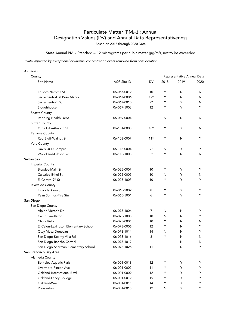State Annual PM<sub>2.5</sub> Standard = 12 micrograms per cubic meter ( $\mu$ g/m<sup>3</sup>), not to be exceeded

| Air Basin                            |             |       |      |                            |      |
|--------------------------------------|-------------|-------|------|----------------------------|------|
| County                               |             |       |      | Representative Annual Data |      |
| Site Name                            | AQS Site ID | DV    | 2018 | 2019                       | 2020 |
| Folsom-Natoma St                     | 06-067-0012 | 10    | Y    | N                          | N    |
| Sacramento-Del Paso Manor            | 06-067-0006 | $12*$ | Y    | N                          | N    |
| Sacramento-T St                      | 06-067-0010 | 9*    | Y    | Y                          | N    |
| Sloughhouse                          | 06-067-5003 | 12    | Y    | Y                          | Y    |
| Shasta County                        |             |       |      |                            |      |
| Redding-Health Dept                  | 06-089-0004 |       | N    | N                          | N    |
| <b>Sutter County</b>                 |             |       |      |                            |      |
| Yuba City-Almond St                  | 06-101-0003 | $10*$ | Y    | Y                          | N    |
| Tehama County                        |             |       |      |                            |      |
| <b>Red Bluff-Walnut St</b>           | 06-103-0007 | $11*$ | Y    | N                          | Y    |
| Yolo County                          |             |       |      |                            |      |
| Davis-UCD Campus                     | 06-113-0004 | 9*    | N    | Y                          | Y    |
| Woodland-Gibson Rd                   | 06-113-1003 | 8*    | Y    | N                          | N    |
| <b>Salton Sea</b>                    |             |       |      |                            |      |
| <b>Imperial County</b>               |             |       |      |                            |      |
| Brawley-Main St                      | 06-025-0007 | 10    | Y    | Y                          | Y    |
| Calexico-Ethel St                    | 06-025-0005 | 10    | N    | Y                          | N    |
| El Centro-9th St                     | 06-025-1003 | 10    | Y    | Y                          | Y    |
| Riverside County                     |             |       |      |                            |      |
| Indio-Jackson St                     | 06-065-2002 | 8     | Y    | Y                          | Y    |
| Palm Springs-Fire Stn                | 06-065-5001 | 6     | Y    | Y                          | Y    |
| San Diego                            |             |       |      |                            |      |
| San Diego County                     |             |       |      |                            |      |
| Alpine-Victoria Dr                   | 06-073-1006 | 7     | N    | N                          | Y    |
| Camp Pendleton                       | 06-073-1008 | 10    | N    | N                          | Y    |
| Chula Vista                          | 06-073-0001 | 10    | Y    | N                          | N    |
| El Cajon-Lexington Elementary School | 06-073-0006 | 12    | Y    | N                          | Y    |
| Otay Mesa-Donovan                    | 06-073-1014 | 14    | N    | N                          | Y    |
| San Diego-Kearny Villa Rd            | 06-073-1016 | 8     | Y    | N                          | N    |
| San Diego-Rancho Carmel              | 06-073-1017 |       |      | N                          | N    |
| San Diego-Sherman Elementary School  | 06-073-1026 | 11    |      | N                          | Y    |
| San Francisco Bay Area               |             |       |      |                            |      |
| Alameda County                       |             |       |      |                            |      |
| Berkeley-Aquatic Park                | 06-001-0013 | 12    | Y    | Y                          | Y    |
| Livermore-Rincon Ave                 | 06-001-0007 | 11    | Y    | Υ                          | Y    |
| Oakland-International Blvd           | 06-001-0009 | 12    | Υ    | Y                          | Y    |
| Oakland-Laney College                | 06-001-0012 | 15    | Υ    | Y                          | Y    |
| Oakland-West                         | 06-001-0011 | 14    | Υ    | Υ                          | Y    |
| Pleasanton                           | 06-001-0015 | 12    | N    | Y                          | Y.   |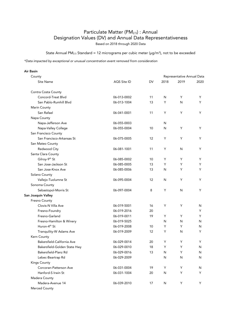State Annual PM<sub>2.5</sub> Standard = 12 micrograms per cubic meter ( $\mu$ g/m<sup>3</sup>), not to be exceeded

| <b>Air Basin</b>             |             |    |      |                            |      |
|------------------------------|-------------|----|------|----------------------------|------|
| County                       |             |    |      | Representative Annual Data |      |
| Site Name                    | AQS Site ID | DV | 2018 | 2019                       | 2020 |
| Contra Costa County          |             |    |      |                            |      |
| Concord-Treat Blvd           | 06-013-0002 | 11 | N    | Y                          | Y    |
| San Pablo-Rumhill Blvd       | 06-013-1004 | 13 | Y    | N                          | Y    |
| Marin County                 |             |    |      |                            |      |
| San Rafael                   | 06-041-0001 | 11 | Y    | Y                          | Y    |
| Napa County                  |             |    |      |                            |      |
| Napa-Jefferson Ave           | 06-055-0003 |    | N    |                            |      |
| Napa-Valley College          | 06-055-0004 | 10 | N    | Y                          | Y    |
| San Francisco County         |             |    |      |                            |      |
| San Francisco-Arkansas St    | 06-075-0005 | 12 | Υ    | Y                          | Y    |
| San Mateo County             |             |    |      |                            |      |
| Redwood City                 | 06-081-1001 | 11 | Υ    | N                          | Y    |
| Santa Clara County           |             |    |      |                            |      |
| Gilroy-9th St                | 06-085-0002 | 10 | Y    | Y                          | Y    |
| San Jose-Jackson St          | 06-085-0005 | 13 | Y    | Y                          | Y    |
| San Jose-Knox Ave            | 06-085-0006 | 13 | N    | Y                          | Y    |
| Solano County                |             |    |      |                            |      |
| Vallejo-Tuolumne St          | 06-095-0004 | 12 | N    | Y                          | Y    |
| Sonoma County                |             |    |      |                            |      |
| Sebastopol-Morris St         | 06-097-0004 | 8  | Y    | N                          | Y    |
| San Joaquin Valley           |             |    |      |                            |      |
| Fresno County                |             |    |      |                            |      |
| Clovis-N Villa Ave           | 06-019-5001 | 16 | Y    | Y                          | N    |
| Fresno-Foundry               | 06-019-2016 | 20 |      |                            | Y    |
| Fresno-Garland               | 06-019-0011 | 19 | Y    | Y                          | Y    |
| Fresno-Hamilton & Winery     | 06-019-5025 |    | N    | N                          | N    |
| Huron-4 <sup>th</sup> St     | 06-019-2008 | 10 | Y    | Y                          | N    |
| Tranquility-W Adams Ave      | 06-019-2009 | 12 | Y    | N                          | Y    |
| Kern County                  |             |    |      |                            |      |
| Bakersfield-California Ave   | 06-029-0014 | 20 | Y    | Y                          | Y    |
| Bakersfield-Golden State Hwy | 06-029-0010 | 18 | Y    | Y                          | N    |
| Bakersfield-Planz Rd         | 06-029-0016 | 13 | N    | Y                          | N    |
| Lebec-Beartrap Rd            | 06-029-2009 |    | N    | N                          | N    |
| Kings County                 |             |    |      |                            |      |
| Corcoran-Patterson Ave       | 06-031-0004 | 19 | Υ    | Y                          | N    |
| Hanford-S Irwin St           | 06-031-1004 | 20 | N    | Y                          | Y    |
| Madera County                |             |    |      |                            |      |
| Madera-Avenue 14             | 06-039-2010 | 17 | N    | Y                          | Y    |
| Merced County                |             |    |      |                            |      |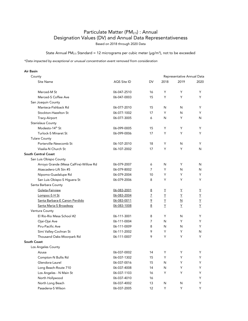State Annual PM<sub>2.5</sub> Standard = 12 micrograms per cubic meter ( $\mu$ g/m<sup>3</sup>), not to be exceeded

| <b>Air Basin</b>                       |             |                |              |                            |      |
|----------------------------------------|-------------|----------------|--------------|----------------------------|------|
| County                                 |             |                |              | Representative Annual Data |      |
| Site Name                              | AQS Site ID | DV             | 2018         | 2019                       | 2020 |
| Merced-M St                            | 06-047-2510 | 16             | Y            | Y                          | Y    |
| Merced-S Coffee Ave                    | 06-047-0003 | 15             | Y            | Y                          | Y    |
| San Joaquin County                     |             |                |              |                            |      |
| Manteca-Fishback Rd                    | 06-077-2010 | 15             | N            | N                          | Y    |
| Stockton-Hazelton St                   | 06-077-1002 | 17             | Y            | N                          | Y    |
| Tracy-Airport                          | 06-077-3005 | 6              | N            | Y                          | N    |
| Stanislaus County                      |             |                |              |                            |      |
| Modesto-14 <sup>th</sup> St            | 06-099-0005 | 15             | Y            | Y                          | Y    |
| <b>Turlock-S Minaret St</b>            | 06-099-0006 | 17             | Y            | Y                          | Y    |
| <b>Tulare County</b>                   |             |                |              |                            |      |
| Porterville-Newcomb St                 | 06-107-2010 | 18             | Y            | N                          | Y    |
| Visalia-N Church St                    | 06-107-2002 | 17             | Y            | Y                          | N    |
| <b>South Central Coast</b>             |             |                |              |                            |      |
| San Luis Obispo County                 |             |                |              |                            |      |
| Arroyo Grande (Mesa CalFire)-Willow Rd | 06-079-2007 | 6              | N            | Y                          | N    |
| Atascadero-Lift Stn #5                 | 06-079-8002 | 7              | Y            | N                          | N    |
| Nipomo-Guadalupe Rd                    | 06-079-2004 | 10             | Y            | Y                          | Y    |
| San Luis Obispo-S Higuera St           | 06-079-2006 | 8              | Y            | Y                          | Y    |
| Santa Barbara County                   |             |                |              |                            |      |
| Goleta-Fairview                        | 06-083-2001 | <u>8</u>       | Y            | Y                          | Y    |
| Lompoc-S H St                          | 06-083-2004 | 7              | Y            | Υ                          | Y    |
| Santa Barbara-E Canon Perdido          | 06-083-0011 | $\overline{2}$ | Y            | N                          | Y    |
| Santa Maria-S Broadway                 | 06-083-1008 | 8              | Y            | Υ                          | Υ    |
| Ventura County                         |             |                |              |                            |      |
| El Rio-Rio Mesa School #2              | 06-111-3001 | 8              | Y            | N                          | Y    |
| Ojai-Ojai Ave                          | 06-111-0004 | 7              | N            | Y                          | Y    |
| Piru-Pacific Ave                       | 06-111-0009 | 8              | N            | N                          | Y    |
| Simi Valley-Cochran St                 | 06-111-2002 | 9              | Y            | Y                          | N    |
| Thousand Oaks-Moorpark Rd              | 06-111-0007 | 9              | Y            | Y                          | Y    |
| South Coast                            |             |                |              |                            |      |
| Los Angeles County                     |             |                |              |                            |      |
| Azusa                                  | 06-037-0002 | 14             | Υ            | Υ                          | Y    |
| Compton-N Bullis Rd                    | 06-037-1302 | 15             | Υ            | Y                          | Y    |
| Glendora-Laurel                        | 06-037-0016 | 15             | ${\sf N}$    | Y                          | Y    |
| Long Beach-Route 710                   | 06-037-4008 | 14             | $\mathsf{N}$ | Υ                          | Y    |
| Los Angeles - N Main St                | 06-037-1103 | 16             | Υ            | Υ                          | Y    |
| North Hollywood                        | 06-037-4010 | 16             |              |                            | Y    |
| North Long Beach                       | 06-037-4002 | 13             | ${\sf N}$    | N                          | Y    |
| Pasadena-S Wilson                      | 06-037-2005 | 12             | Υ            | Y                          | Y.   |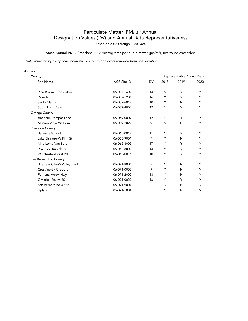State Annual PM<sub>2.5</sub> Standard = 12 micrograms per cubic meter ( $\mu$ g/m<sup>3</sup>), not to be exceeded

| <b>Air Basin</b>                  |             |                |      |                            |      |
|-----------------------------------|-------------|----------------|------|----------------------------|------|
| County                            |             |                |      | Representative Annual Data |      |
| <b>Site Name</b>                  | AQS Site ID | <b>DV</b>      | 2018 | 2019                       | 2020 |
| Pico Rivera - San Gabriel         | 06-037-1602 | 14             | N    | Y                          | Y    |
| Reseda                            | 06-037-1201 | 16             | Y    | Υ                          | Y    |
| Santa Clarita                     | 06-037-6012 | 10             | Y    | N                          | Y    |
| South Long Beach                  | 06-037-4004 | 12             | N    | Y                          | Y    |
| Orange County                     |             |                |      |                            |      |
| Anaheim-Pampas Lane               | 06-059-0007 | 12             | Y    | Υ                          | Υ    |
| Mission Viejo-Via Pera            | 06-059-2022 | 9              | N    | N                          | Y    |
| Riverside County                  |             |                |      |                            |      |
| <b>Banning Airport</b>            | 06-065-0012 | 11             | N    | Y                          | Y    |
| Lake Elsinore-W Flint St          | 06-065-9001 | $\overline{7}$ | Y    | N                          | Y    |
| Mira Loma-Van Buren               | 06-065-8005 | 17             | Y    | Y                          | Y    |
| Riverside-Rubidoux                | 06-065-8001 | 14             | Y    | Υ                          | Y    |
| Winchester-Borel Rd               | 06-065-0016 | 10             | Y    | Y                          | Y    |
| San Bernardino County             |             |                |      |                            |      |
| Big Bear City-W Valley Blvd       | 06-071-8001 | 8              | N    | N                          | Y    |
| Crestline/Lk Gregory              | 06-071-0005 | 9              | Y    | N                          | N    |
| Fontana-Arrow Hwy                 | 06-071-2002 | 13             | Y    | N                          | Y    |
| Ontario - Route 60                | 06-071-0027 | 16             | Y    | Υ                          | Y    |
| San Bernardino-4 <sup>th</sup> St | 06-071-9004 |                | N    | N                          | N    |
| Upland                            | 06-071-1004 |                | N    | N                          | N    |
|                                   |             |                |      |                            |      |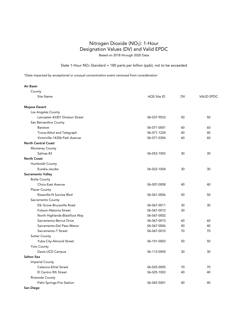# Nitrogen Dioxide (NO2): 1-Hour Designation Values (DV) and Valid EPDC Based on 2018 through 2020 Data

### State 1-Hour  $NO<sub>2</sub>$  Standard = 180 parts per billion (ppb), not to be exceeded

| Air Basin                       |             |           |                   |
|---------------------------------|-------------|-----------|-------------------|
| County                          |             |           |                   |
| <b>Site Name</b>                | AQS Site ID | <b>DV</b> | <b>VALID EPDC</b> |
| <b>Mojave Desert</b>            |             |           |                   |
| Los Angeles County              |             |           |                   |
| Lancaster-43301 Division Street | 06-037-9033 | 50        | 50                |
| San Bernardino County           |             |           |                   |
| Barstow                         | 06-071-0001 | 60        | 60                |
| Trona-Athol and Telegraph       | 06-071-1234 | 40        | 40                |
| Victorville-14306 Park Avenue   | 06-071-0306 | 60        | 60                |
| <b>North Central Coast</b>      |             |           |                   |
| Monterey County                 |             |           |                   |
| Salinas-#3                      | 06-053-1003 | 30        | 30                |
| <b>North Coast</b>              |             |           |                   |
| Humboldt County                 |             |           |                   |
| Eureka-Jacobs                   | 06-023-1004 | 30        | 30                |
| Sacramento Valley               |             |           |                   |
| <b>Butte County</b>             |             |           |                   |
| Chico-East Avenue               | 06-007-0008 | 40        | 40                |
| <b>Placer County</b>            |             |           |                   |
| Roseville-N Sunrise Blvd        | 06-061-0006 | 50        | 50                |
| Sacramento County               |             |           |                   |
| Elk Grove-Bruceville Road       | 06-067-0011 | 30        | 30                |
| Folsom-Natoma Street            | 06-067-0012 | 30        |                   |
| North Highlands-Blackfoot Way   | 06-067-0002 |           |                   |
| Sacramento-Bercut Drive         | 06-067-0015 | 60        | 60                |
| Sacramento-Del Paso Manor       | 06-067-0006 | 40        | 40                |
| Sacramento-T Street             | 06-067-0010 | 70        | 70                |
| <b>Sutter County</b>            |             |           |                   |
| Yuba City-Almond Street         | 06-101-0003 | 50        | 50                |
| Yolo County                     |             |           |                   |
| Davis-UCD Campus                | 06-113-0004 | 30        | 30                |
| Salton Sea                      |             |           |                   |
| <b>Imperial County</b>          |             |           |                   |
| Calexico-Ethel Street           | 06-025-0005 | 70        | 70                |
| El Centro-9th Street            | 06-025-1003 | 40        | 40                |
| Riverside County                |             |           |                   |
| Palm Springs-Fire Station       | 06-065-5001 | 40        | 40                |
| San Diego                       |             |           |                   |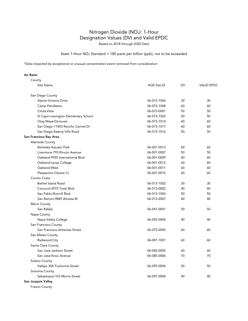# Nitrogen Dioxide (NO2): 1-Hour Designation Values (DV) and Valid EPDC

Based on 2018 through 2020 Data

### State 1-Hour NO2 Standard = 180 parts per billion (ppb), not to be exceeded

*\*Data impacted by exceptional or unusual concentration event removed from consideration*

#### Air Basin

| County                               |             |    |                   |
|--------------------------------------|-------------|----|-------------------|
| Site Name                            | AQS Site ID | DV | <b>VALID EPDC</b> |
| San Diego County                     |             |    |                   |
| Alpine-Victoria Drive                | 06-073-1006 | 30 | 30                |
| Camp Pendleton                       | 06-073-1008 | 60 | 60                |
| Chula Vista                          | 06-073-0001 | 50 | 50                |
| El Cajon-Lexington Elementary School | 06-073-1022 | 50 | 50                |
| Otay Mesa-Donovan                    | 06-073-1014 | 60 | 60                |
| San Diego-11403 Rancho Carmel Dr     | 06-073-1017 | 60 | 60                |
| San Diego-Kearny Villa Road          | 06-073-1016 | 50 | 50                |
| San Francisco Bay Area               |             |    |                   |
| Alameda County                       |             |    |                   |
| Berkeley-Aquatic Park                | 06-001-0013 | 60 | 60                |
| Livermore-793 Rincon Avenue          | 06-001-0007 | 50 | 50                |
| Oakland-9925 International Blvd      | 06-001-0009 | 60 | 60                |
| Oakland-Laney College                | 06-001-0012 | 60 | 60                |
| Oakland-West                         | 06-001-0011 | 60 | 60                |
| Pleasanton-Owens Ct                  | 06-001-0015 | 60 | 60                |
| Contra Costa                         |             |    |                   |
| <b>Bethel Island Road</b>            | 06-013-1002 | 30 | 30                |
| Concord-2975 Treat Blvd              | 06-013-0002 | 40 | 40                |
| San Pablo-Rumrill Blvd               | 06-013-1004 | 50 | 50                |
| San Ramon-9885 Alcosta Bl            | 06-013-2007 | 40 | 40                |
| Marin County                         |             |    |                   |
| San Rafael                           | 06-041-0001 | 50 | 50                |
| Napa County                          |             |    |                   |
| Napa-Valley College                  | 06-055-0004 | 40 | 40                |
| San Francisco County                 |             |    |                   |
| San Francisco-Arkansas Street        | 06-075-0005 | 60 | 60                |
| San Mateo County                     |             |    |                   |
| Redwood City                         | 06-081-1001 | 60 | 60                |
| Santa Clara County                   |             |    |                   |
| San Jose-Jackson Street              | 06-085-0005 | 60 | 60                |
| San Jose-Knox Avenue                 | 06-085-0006 | 70 | 70                |
| Solano County                        |             |    |                   |
| Vallejo-304 Tuolumne Street          | 06-095-0004 | 50 | 50                |
| Sonoma County                        |             |    |                   |
| Sebastopol-103 Morris Street         | 06-097-0004 | 40 | 40                |
| San Joaquin Valley                   |             |    |                   |
|                                      |             |    |                   |

Fresno County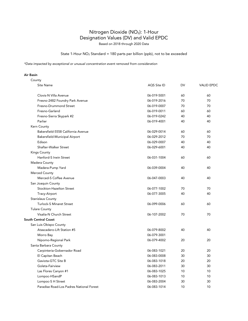# Nitrogen Dioxide (NO2): 1-Hour Designation Values (DV) and Valid EPDC

Based on 2018 through 2020 Data

State 1-Hour NO2 Standard = 180 parts per billion (ppb), not to be exceeded

*\*Data impacted by exceptional or unusual concentration event removed from consideration*

| County                                   |             |    |                   |
|------------------------------------------|-------------|----|-------------------|
| Site Name                                | AQS Site ID | DV | <b>VALID EPDC</b> |
| Clovis-N Villa Avenue                    | 06-019-5001 | 60 | 60                |
| Fresno-2482 Foundry Park Avenue          | 06-019-2016 | 70 | 70                |
| Fresno-Drummond Street                   | 06-019-0007 | 70 | 70                |
| Fresno-Garland                           | 06-019-0011 | 60 | 60                |
| Fresno-Sierra Skypark #2                 | 06-019-0242 | 40 | 40                |
| Parlier                                  | 06-019-4001 | 40 | 40                |
| Kern County                              |             |    |                   |
| Bakersfield-5558 California Avenue       | 06-029-0014 | 60 | 60                |
| Bakersfield-Municipal Airport            | 06-029-2012 | 70 | 70                |
| Edison                                   | 06-029-0007 | 40 | 40                |
| Shafter-Walker Street                    | 06-029-6001 | 40 | 40                |
| <b>Kings County</b>                      |             |    |                   |
| Hanford-S Irwin Street                   | 06-031-1004 | 60 | 60                |
| Madera County                            |             |    |                   |
| Madera-Pump Yard                         | 06-039-0004 | 40 | 40                |
| Merced County                            |             |    |                   |
| Merced-S Coffee Avenue                   | 06-047-0003 | 40 | 40                |
| San Joaquin County                       |             |    |                   |
| Stockton-Hazelton Street                 | 06-077-1002 | 70 | 70                |
| Tracy-Airport                            | 06-077-3005 | 40 | 40                |
| <b>Stanislaus County</b>                 |             |    |                   |
| <b>Turlock-S Minaret Street</b>          | 06-099-0006 | 60 | 60                |
| <b>Tulare County</b>                     |             |    |                   |
| Visalia-N Church Street                  | 06-107-2002 | 70 | 70                |
| <b>South Central Coast</b>               |             |    |                   |
| San Luis Obispo County                   |             |    |                   |
| Atascadero-Lift Station #5               | 06-079-8002 | 40 | 40                |
| Morro Bay                                | 06-079-3001 |    |                   |
| Nipomo-Regional Park                     | 06-079-4002 | 20 | 20                |
| Santa Barbara County                     |             |    |                   |
| Carpinteria-Gobernador Road              | 06-083-1021 | 20 | 20                |
| El Capitan Beach                         | 06-083-0008 | 30 | 30                |
| Gaviota-GTC Site B                       | 06-083-1018 | 20 | 20                |
| Goleta-Fairview                          | 06-083-2011 | 30 | 30                |
| Las Flores Canyon #1                     | 06-083-1025 | 10 | 10                |
| Lompoc-HSandP                            | 06-083-1013 | 10 | 10                |
| Lompoc-S H Street                        | 06-083-2004 | 30 | 30                |
| Paradise Road-Los Padres National Forest | 06-083-1014 | 10 | 10                |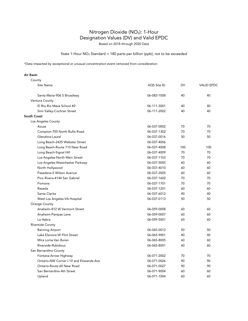# Nitrogen Dioxide (NO2): 1-Hour Designation Values (DV) and Valid EPDC

Based on 2018 through 2020 Data

### State 1-Hour NO2 Standard = 180 parts per billion (ppb), not to be exceeded

*\*Data impacted by exceptional or unusual concentration event removed from consideration*

| County                                  |             |     |                   |
|-----------------------------------------|-------------|-----|-------------------|
| <b>Site Name</b>                        | AQS Site ID | DV  | <b>VALID EPDC</b> |
| Santa Maria-906 S Broadway              | 06-083-1008 | 40  | 40                |
| Ventura County                          |             |     |                   |
| El Rio-Rio Mesa School #2               | 06-111-3001 | 40  | 40                |
| Simi Valley-Cochran Street              | 06-111-2002 | 40  | 40                |
| <b>South Coast</b>                      |             |     |                   |
| Los Angeles County                      |             |     |                   |
| Azusa                                   | 06-037-0002 | 70  | 70                |
| Compton-700 North Bullis Road           | 06-037-1302 | 70  | 70                |
| Glendora-Laurel                         | 06-037-0016 | 50  | 50                |
| Long Beach-2425 Webster Street          | 06-037-4006 |     |                   |
| Long Beach-Route 710 Near Road          | 06-037-4008 | 100 | 100               |
| Long Beach-Signal Hill                  | 06-037-4009 | 70  | 70                |
| Los Angeles-North Main Street           | 06-037-1103 | 70  | 70                |
| Los Angeles-Westchester Parkway         | 06-037-5005 | 60  | 60                |
| North Hollywood                         | 06-037-4010 | 60  | 60                |
| Pasadena-S Wilson Avenue                | 06-037-2005 | 60  | 60                |
| Pico Rivera-4144 San Gabriel            | 06-037-1602 | 70  | 70                |
| Pomona                                  | 06-037-1701 | 70  | 70                |
| Reseda                                  | 06-037-1201 | 60  | 60                |
| Santa Clarita                           | 06-037-6012 | 40  | 40                |
| West Los Angeles-VA Hospital            | 06-037-0113 | 50  | 50                |
| Orange County                           |             |     |                   |
| Anaheim-812 W Vermont Street            | 06-059-0008 | 60  | 60                |
| Anaheim-Pampas Lane                     | 06-059-0007 | 60  | 60                |
| La Habra                                | 06-059-5001 | 60  | 60                |
| Riverside County                        |             |     |                   |
| <b>Banning Airport</b>                  | 06-065-0012 | 50  | 50                |
| Lake Elsinore-W Flint Street            | 06-065-9001 | 40  | 40                |
| Mira Loma Van Buren                     | 06-065-8005 | 60  | 60                |
| Riverside-Rubidoux                      | 06-065-8001 | 60  | 60                |
| San Bernardino County                   |             |     |                   |
| Fontana-Arrow Highway                   | 06-071-2002 | 70  | 70                |
| Ontario-NW Corner I-10 and Etiwanda Ave | 06-071-0026 | 90  | 90                |
| Ontario-Route 60 Near Road              | 06-071-0027 | 90  | 90                |
| San Bernardino-4th Street               | 06-071-9004 | 60  | 60                |
| Upland                                  | 06-071-1004 | 60  | 60                |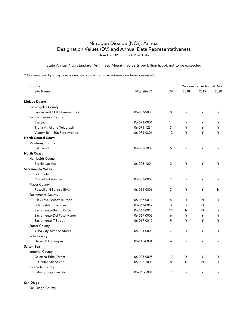# Nitrogen Dioxide (NO2): Annual Designation Values (DV) and Annual Data Representativeness Based on 2018 through 2020 Data

### State Annual NO2 Standard (Arithmetic Mean) = 30 parts per billion (ppb), not to be exceeded

*\*Data impacted by exceptional or unusual concentration event removed from consideration*

| County                          |             |                |      | Representative Annual Data |      |
|---------------------------------|-------------|----------------|------|----------------------------|------|
| Site Name                       | AQS Site ID | DV             | 2018 | 2019                       | 2020 |
| <b>Mojave Desert</b>            |             |                |      |                            |      |
| Los Angeles County              |             |                |      |                            |      |
| Lancaster-43301 Division Street | 06-037-9033 | 8              | Y    | Y                          | Y    |
| San Bernardino County           |             |                |      |                            |      |
| <b>Barstow</b>                  | 06-071-0001 | 14             | Y    | Y                          | Y    |
| Trona-Athol and Telegraph       | 06-071-1234 | 3              | Y    | Y                          | Y    |
| Victorville-14306 Park Avenue   | 06-071-0306 | 12             | Y    | Y                          | Y    |
| <b>North Central Coast</b>      |             |                |      |                            |      |
| Monterey County                 |             |                |      |                            |      |
| Salinas-#3                      | 06-053-1003 | 5              | Y    | Υ                          | Y    |
| <b>North Coast</b>              |             |                |      |                            |      |
| Humboldt County                 |             |                |      |                            |      |
| Eureka-Jacobs                   | 06-023-1004 | $\overline{2}$ | Y    | Y                          | Y    |
| Sacramento Valley               |             |                |      |                            |      |
| <b>Butte County</b>             |             |                |      |                            |      |
| Chico-East Avenue               | 06-007-0008 | $\overline{7}$ | Y    | Y                          | Y    |
| <b>Placer County</b>            |             |                |      |                            |      |
| Roseville-N Sunrise Blvd        | 06-061-0006 | $\overline{7}$ | Y    | Y                          | N    |
| Sacramento County               |             |                |      |                            |      |
| Elk Grove-Bruceville Road       | 06-067-0011 | 4              | Y    | N                          | Y    |
| Folsom-Natoma Street            | 06-067-0012 | 3              | Y    | N                          |      |
| Sacramento-Bercut Drive         | 06-067-0015 | 12             | N    | N                          | Υ    |
| Sacramento-Del Paso Manor       | 06-067-0006 | 6              | Y    | Y                          | Y    |
| Sacramento-T Street             | 06-067-0010 | 9              | Y    | Y                          | Y    |
| <b>Sutter County</b>            |             |                |      |                            |      |
| Yuba City-Almond Street         | 06-101-0003 | $\overline{7}$ | Y    | Y                          | Y    |
| <b>Yolo County</b>              |             |                |      |                            |      |
| Davis-UCD Campus                | 06-113-0004 | 4              | Y    | Y                          | Y    |
| <b>Salton Sea</b>               |             |                |      |                            |      |
| <b>Imperial County</b>          |             |                |      |                            |      |
| Calexico-Ethel Street           | 06-025-0005 | 12             | Y    | Y                          | Y    |
| El Centro-9th Street            | 06-025-1003 | 8              | N    | N                          | Y    |
| Riverside County                |             |                |      |                            |      |
| Palm Springs-Fire Station       | 06-065-5001 | $\overline{7}$ | Υ    | Y                          | Υ    |

#### San Diego

San Diego County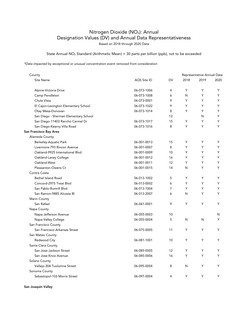### Nitrogen Dioxide (NO<sub>2</sub>): Annual Designation Values (DV) and Annual Data Representativeness Based on 2018 through 2020 Data

State Annual NO2 Standard (Arithmetic Mean) = 30 parts per billion (ppb), not to be exceeded

*\*Data impacted by exceptional or unusual concentration event removed from consideration*

| County                                |             |                | Representative Annual Data |      |      |
|---------------------------------------|-------------|----------------|----------------------------|------|------|
| Site Name                             | AQS Site ID | <b>DV</b>      | 2018                       | 2019 | 2020 |
| Alpine-Victoria Drive                 | 06-073-1006 | 4              | Y                          | Y    | Y    |
| Camp Pendleton                        | 06-073-1008 | 6              | N                          | Y    | Y    |
| Chula Vista                           | 06-073-0001 | 9              | Y                          | Y    | Y    |
| El Cajon-Lexington Elementary School  | 06-073-1022 | 9              | Y                          | Y    | Y    |
| Otay Mesa-Donovan                     | 06-073-1014 | 8              | Y                          | Y    | Y    |
| San Diego - Sherman Elementary School |             | 12             |                            | N    | Y    |
| San Diego-11403 Rancho Carmel Dr      | 06-073-1017 | 15             | Υ                          | Υ    | Y    |
| San Diego-Kearny Villa Road           | 06-073-1016 | 8              | Y                          | Y    | Y    |
| San Francisco Bay Area                |             |                |                            |      |      |
| Alameda County                        |             |                |                            |      |      |
| Berkeley-Aquatic Park                 | 06-001-0013 | 15             | Υ                          | Υ    | Y    |
| Livermore-793 Rincon Avenue           | 06-001-0007 | 8              | Y                          | Y    | Y    |
| Oakland-9925 International Blvd       | 06-001-0009 | 10             | Y                          | Υ    | Y    |
| Oakland-Laney College                 | 06-001-0012 | 16             | Y                          | Y    | Y    |
| Oakland-West                          | 06-001-0011 | 12             | Y                          | Y    | Y    |
| Pleasanton-Owens Ct                   | 06-001-0015 | 14             | N                          | Y    | Y    |
| Contra Costa                          |             |                |                            |      |      |
| <b>Bethel Island Road</b>             | 06-013-1002 | 5              | Υ                          | Y    | Y    |
| Concord-2975 Treat Blvd               | 06-013-0002 | 6              | Y                          | Y    | Y    |
| San Pablo-Rumrill Blvd                | 06-013-1004 | $\overline{7}$ | Y                          | Y    | Y    |
| San Ramon-9885 Alcosta Bl             | 06-013-2007 | 6              | N                          | Υ    | Y    |
| Marin County                          |             |                |                            |      |      |
| San Rafael                            | 06-041-0001 | 9              | Υ                          | Y    | Y    |
| Napa County                           |             |                |                            |      |      |
| Napa-Jefferson Avenue                 | 06-055-0003 | 10             |                            |      | N    |
| Napa-Valley College                   | 06-055-0004 | 5              | N                          | N    | Y    |
| San Francisco County                  |             |                |                            |      |      |
| San Francisco-Arkansas Street         | 06-075-0005 | 11             | Y                          | Y    | Y    |
| San Mateo County                      |             |                |                            |      |      |
| Redwood City                          | 06-081-1001 | 10             | Y                          | Y    | Y    |
| Santa Clara County                    |             |                |                            |      |      |
| San Jose-Jackson Street               | 06-085-0005 | 12             | Y                          | Y    | Y    |
| San Jose-Knox Avenue                  | 06-085-0006 | 16             | Y                          | Υ    | Y    |
| Solano County                         |             |                |                            |      |      |
| Vallejo-304 Tuolumne Street           | 06-095-0004 | 8              | N                          | Υ    | Y    |
| Sonoma County                         |             |                |                            |      |      |
| Sebastopol-103 Morris Street          | 06-097-0004 | 4              | Y                          | Y    | Y    |

San Joaquin Valley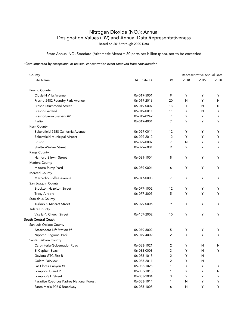### Nitrogen Dioxide (NO<sub>2</sub>): Annual Designation Values (DV) and Annual Data Representativeness Based on 2018 through 2020 Data

State Annual NO2 Standard (Arithmetic Mean) = 30 parts per billion (ppb), not to be exceeded

| County                                   |             |                         | Representative Annual Data |      |      |
|------------------------------------------|-------------|-------------------------|----------------------------|------|------|
| Site Name                                | AQS Site ID | DV                      | 2018                       | 2019 | 2020 |
| Fresno County                            |             |                         |                            |      |      |
| Clovis-N Villa Avenue                    | 06-019-5001 | 9                       | Y                          | Y    | Y    |
| Fresno-2482 Foundry Park Avenue          | 06-019-2016 | 20                      | N                          | Y    | N    |
| Fresno-Drummond Street                   | 06-019-0007 | 13                      | Y                          | N    | N    |
| Fresno-Garland                           | 06-019-0011 | 11                      | Y                          | N    | Y    |
| Fresno-Sierra Skypark #2                 | 06-019-0242 | $\overline{7}$          | Y                          | Y    | Y    |
| Parlier                                  | 06-019-4001 | $\overline{7}$          | Y                          | Y    | Y    |
| Kern County                              |             |                         |                            |      |      |
| Bakersfield-5558 California Avenue       | 06-029-0014 | 12                      | Υ                          | Υ    | Y    |
| Bakersfield-Municipal Airport            | 06-029-2012 | 12                      | Y                          | Y    | Y    |
| Edison                                   | 06-029-0007 | $\overline{7}$          | N                          | Y    | Y    |
| Shafter-Walker Street                    | 06-029-6001 | 9                       | Y                          | Y    | Y    |
| <b>Kings County</b>                      |             |                         |                            |      |      |
| Hanford-S Irwin Street                   | 06-031-1004 | 8                       | Y                          | Y    | Y    |
| Madera County                            |             |                         |                            |      |      |
| Madera-Pump Yard                         | 06-039-0004 | 6                       | Y                          | Y    | Y    |
| Merced County                            |             |                         |                            |      |      |
| Merced-S Coffee Avenue                   | 06-047-0003 | $\overline{7}$          | Y                          | Y    | Y    |
| San Joaquin County                       |             |                         |                            |      |      |
| Stockton-Hazelton Street                 | 06-077-1002 | 12                      | Y                          | Y    | Y    |
| Tracy-Airport                            | 06-077-3005 | 5                       | Y                          | Y    | Y    |
| <b>Stanislaus County</b>                 |             |                         |                            |      |      |
| <b>Turlock-S Minaret Street</b>          | 06-099-0006 | 9                       | Υ                          | Υ    | Y    |
| <b>Tulare County</b>                     |             |                         |                            |      |      |
| Visalia-N Church Street                  | 06-107-2002 | 10                      | Y                          | Υ    | Y    |
| <b>South Central Coast</b>               |             |                         |                            |      |      |
| San Luis Obispo County                   |             |                         |                            |      |      |
| Atascadero-Lift Station #5               | 06-079-8002 | 5                       | Υ                          | Υ    | Y    |
| Nipomo-Regional Park                     | 06-079-4002 | 2                       | Y                          | Y    | Y    |
| Santa Barbara County                     |             |                         |                            |      |      |
| Carpinteria-Gobernador Road              | 06-083-1021 | $\overline{2}$          | Y                          | N    | N    |
| El Capitan Beach                         | 06-083-0008 | 3                       | Y                          | N    | Y    |
| Gaviota-GTC Site B                       | 06-083-1018 | $\overline{\mathbf{c}}$ | Υ                          | N    |      |
| Goleta-Fairview                          | 06-083-2011 | 2                       | Υ                          | N    |      |
| Las Flores Canyon #1                     | 06-083-1025 | 1                       | Υ                          | Y    | Y    |
| Lompoc-HS and P                          | 06-083-1013 | 1                       | Y                          | Y    | N    |
| Lompoc-S H Street                        | 06-083-2004 | 3                       | Y                          | Y    | Y    |
| Paradise Road-Los Padres National Forest | 06-083-1014 | 1                       | N                          | Υ    | Y    |
| Santa Maria-906 S Broadway               | 06-083-1008 | 6                       | N                          | Y    | Y.   |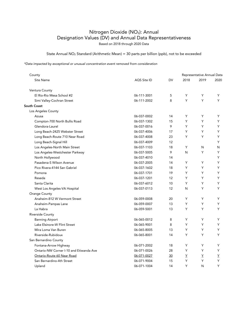### Nitrogen Dioxide (NO<sub>2</sub>): Annual Designation Values (DV) and Annual Data Representativeness Based on 2018 through 2020 Data

State Annual NO2 Standard (Arithmetic Mean) = 30 parts per billion (ppb), not to be exceeded

| County                                  |             |    | Representative Annual Data |                        |      |
|-----------------------------------------|-------------|----|----------------------------|------------------------|------|
| Site Name                               | AQS Site ID | DV | 2018                       | 2019                   | 2020 |
| Ventura County                          |             |    |                            |                        |      |
| El Rio-Rio Mesa School #2               | 06-111-3001 | 5  | Y                          | Y                      | Y    |
| Simi Valley-Cochran Street              | 06-111-2002 | 8  | Y                          | Y                      | Y    |
| South Coast                             |             |    |                            |                        |      |
| Los Angeles County                      |             |    |                            |                        |      |
| Azusa                                   | 06-037-0002 | 14 | Y                          | Y                      | Y    |
| Compton-700 North Bullis Road           | 06-037-1302 | 15 | Y                          | Y                      | Y    |
| Glendora-Laurel                         | 06-037-0016 | 9  | Y                          | Y                      | Y    |
| Long Beach-2425 Webster Street          | 06-037-4006 | 17 | Y                          | Y                      | Y    |
| Long Beach-Route 710 Near Road          | 06-037-4008 | 23 | Y                          | Y                      | Y    |
| Long Beach-Signal Hill                  | 06-037-4009 | 12 |                            |                        | Y    |
| Los Angeles-North Main Street           | 06-037-1103 | 18 | Y                          | N                      | N    |
| Los Angeles-Westchester Parkway         | 06-037-5005 | 9  | N                          | Y                      | Y    |
| North Hollywood                         | 06-037-4010 | 14 |                            |                        | Y    |
| Pasadena-S Wilson Avenue                | 06-037-2005 | 14 | Y                          | Y                      | Y    |
| Pico Rivera-4144 San Gabriel            | 06-037-1602 | 18 | Y                          | Y                      | Y    |
| Pomona                                  | 06-037-1701 | 19 | Y                          | Y                      | Y    |
| Reseda                                  | 06-037-1201 | 12 | Y                          | Y                      | Y    |
| Santa Clarita                           | 06-037-6012 | 10 | Y                          | Y                      | Y    |
| West Los Angeles-VA Hospital            | 06-037-0113 | 12 | N                          | Y                      | Y    |
| Orange County                           |             |    |                            |                        |      |
| Anaheim-812 W Vermont Street            | 06-059-0008 | 20 | Y                          | Y                      | Y    |
| Anaheim-Pampas Lane                     | 06-059-0007 | 13 | Y                          | Y                      | Y    |
| La Habra                                | 06-059-5001 | 13 | Y                          | Y                      | Y    |
| Riverside County                        |             |    |                            |                        |      |
| <b>Banning Airport</b>                  | 06-065-0012 | 8  | Y                          | Y                      | Y    |
| Lake Elsinore-W Flint Street            | 06-065-9001 | 8  | Y                          | Y                      | Y    |
| Mira Loma Van Buren                     | 06-065-8005 | 13 | Y                          | Y                      | Υ    |
| Riverside-Rubidoux                      | 06-065-8001 | 14 | Y                          | Y                      | Y    |
| San Bernardino County                   |             |    |                            |                        |      |
| Fontana-Arrow Highway                   | 06-071-2002 | 18 | Y                          | Y                      | Y    |
| Ontario-NW Corner I-10 and Etiwanda Ave | 06-071-0026 | 28 | Y                          | Y                      | Y    |
| Ontario-Route 60 Near Road              | 06-071-0027 | 30 | Y                          | $\underline{\Upsilon}$ | Y    |
| San Bernardino-4th Street               | 06-071-9004 | 15 | Y                          | Y                      | Y    |
| Upland                                  | 06-071-1004 | 14 | Y                          | N                      | Y    |